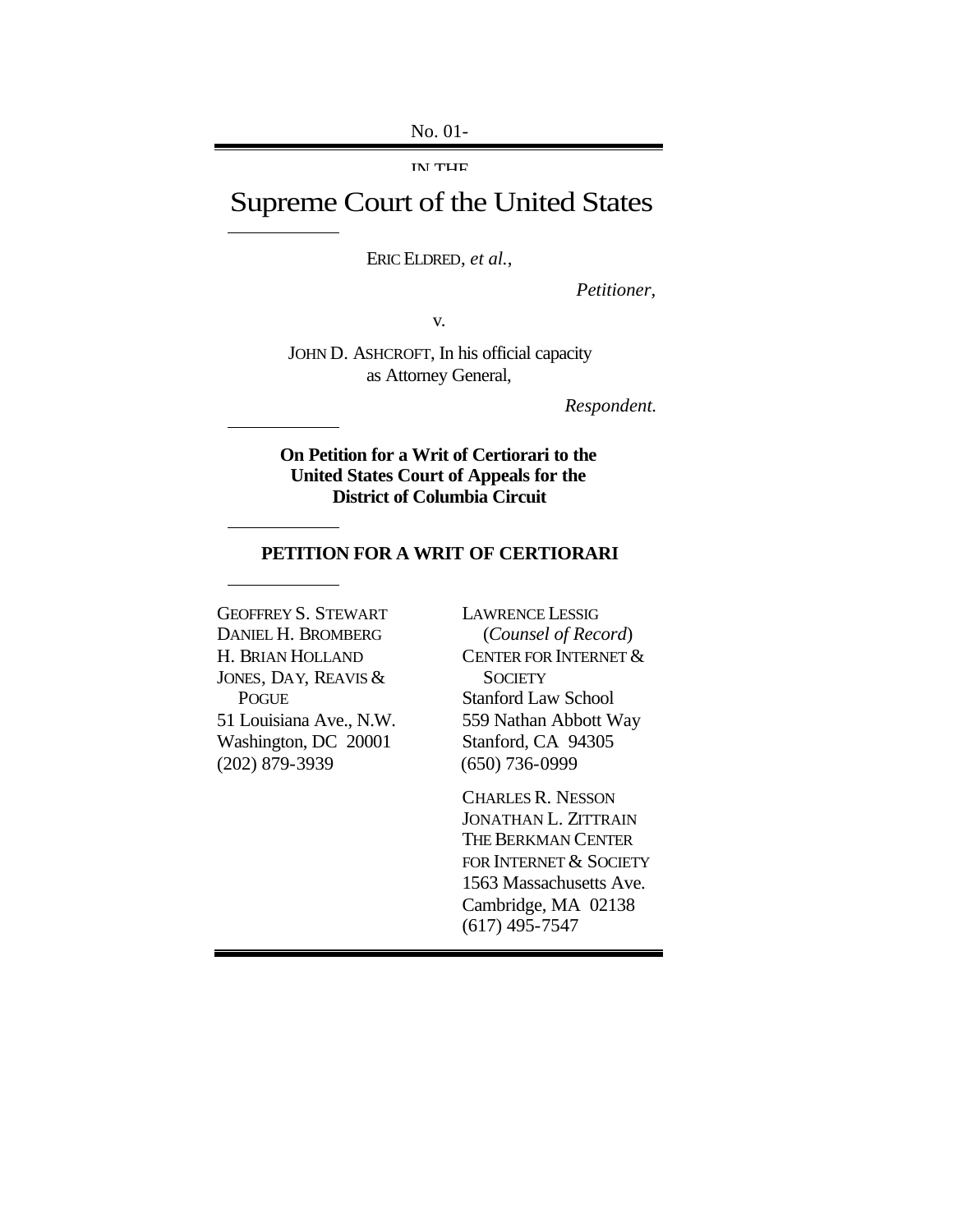No. 01-

IN THE

# Supreme Court of the United States

ERIC ELDRED, *et al.*,

*Petitioner,*

v.

JOHN D. ASHCROFT, In his official capacity as Attorney General,

*Respondent.*

### **On Petition for a Writ of Certiorari to the United States Court of Appeals for the District of Columbia Circuit**

#### **PETITION FOR A WRIT OF CERTIORARI**

GEOFFREY S. STEWART DANIEL H. BROMBERG H. BRIAN HOLLAND JONES, DAY, REAVIS & POGUE 51 Louisiana Ave., N.W. Washington, DC 20001 (202) 879-3939

LAWRENCE LESSIG (*Counsel of Record*) CENTER FOR INTERNET & **SOCIETY** Stanford Law School 559 Nathan Abbott Way Stanford, CA 94305 (650) 736-0999

CHARLES R. NESSON JONATHAN L. ZITTRAIN THE BERKMAN CENTER FOR INTERNET & SOCIETY 1563 Massachusetts Ave. Cambridge, MA 02138 (617) 495-7547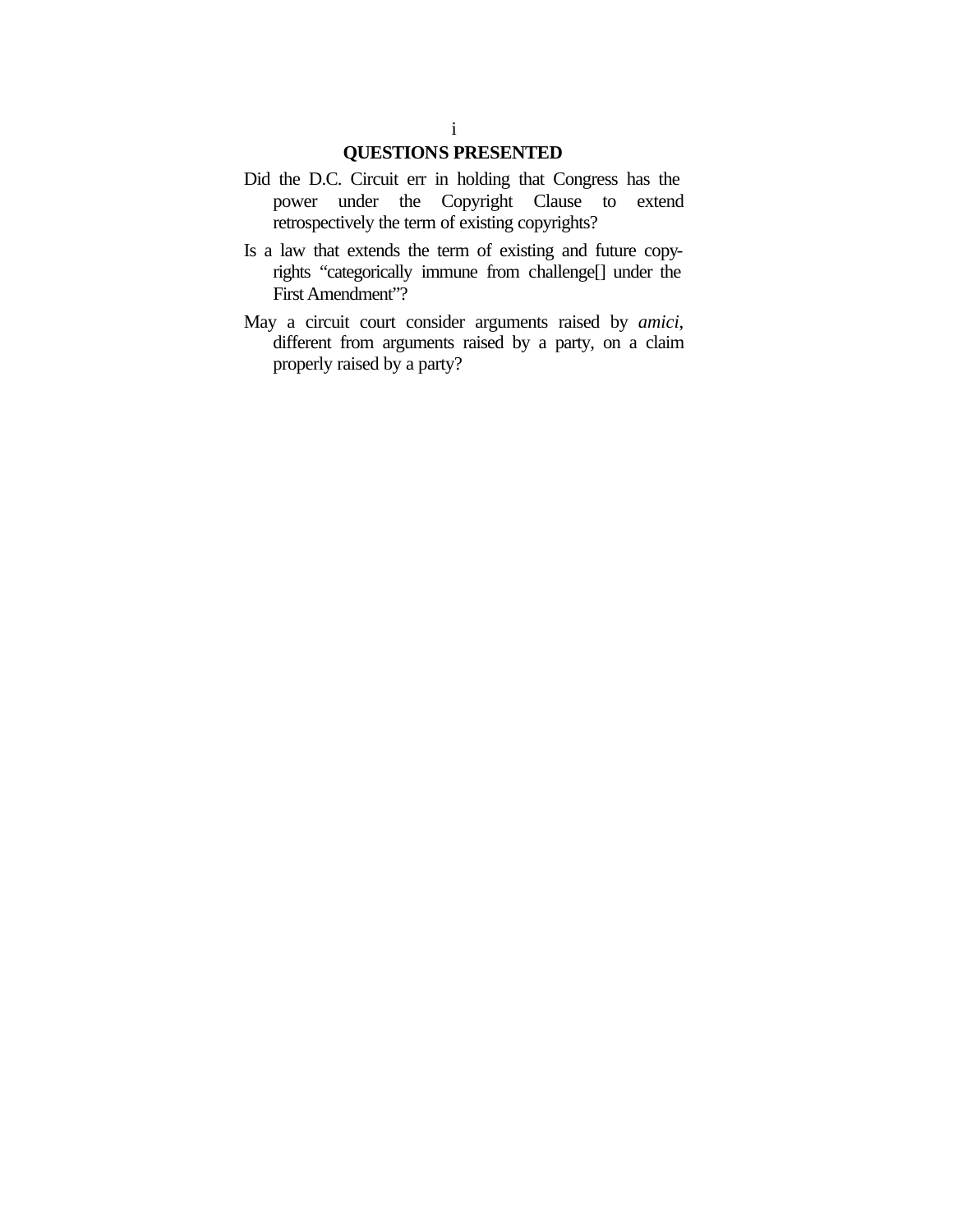# **QUESTIONS PRESENTED**

- Did the D.C. Circuit err in holding that Congress has the power under the Copyright Clause to extend retrospectively the term of existing copyrights?
- Is a law that extends the term of existing and future copyrights "categorically immune from challenge[] under the First Amendment"?
- May a circuit court consider arguments raised by *amici*, different from arguments raised by a party, on a claim properly raised by a party?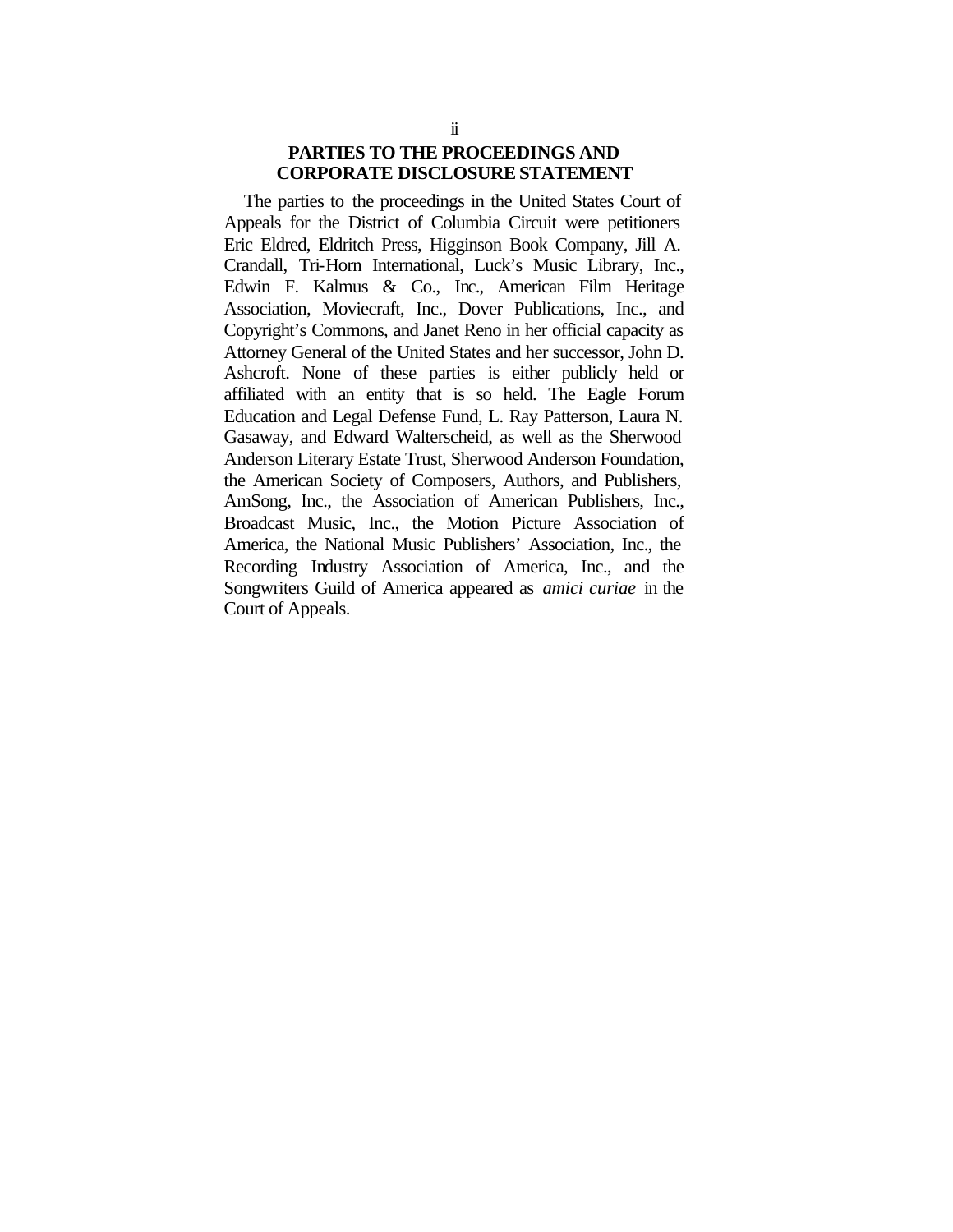### **PARTIES TO THE PROCEEDINGS AND CORPORATE DISCLOSURE STATEMENT**

The parties to the proceedings in the United States Court of Appeals for the District of Columbia Circuit were petitioners Eric Eldred, Eldritch Press, Higginson Book Company, Jill A. Crandall, Tri-Horn International, Luck's Music Library, Inc., Edwin F. Kalmus & Co., Inc., American Film Heritage Association, Moviecraft, Inc., Dover Publications, Inc., and Copyright's Commons, and Janet Reno in her official capacity as Attorney General of the United States and her successor, John D. Ashcroft. None of these parties is either publicly held or affiliated with an entity that is so held. The Eagle Forum Education and Legal Defense Fund, L. Ray Patterson, Laura N. Gasaway, and Edward Walterscheid, as well as the Sherwood Anderson Literary Estate Trust, Sherwood Anderson Foundation, the American Society of Composers, Authors, and Publishers, AmSong, Inc., the Association of American Publishers, Inc., Broadcast Music, Inc., the Motion Picture Association of America, the National Music Publishers' Association, Inc., the Recording Industry Association of America, Inc., and the Songwriters Guild of America appeared as *amici curiae* in the Court of Appeals.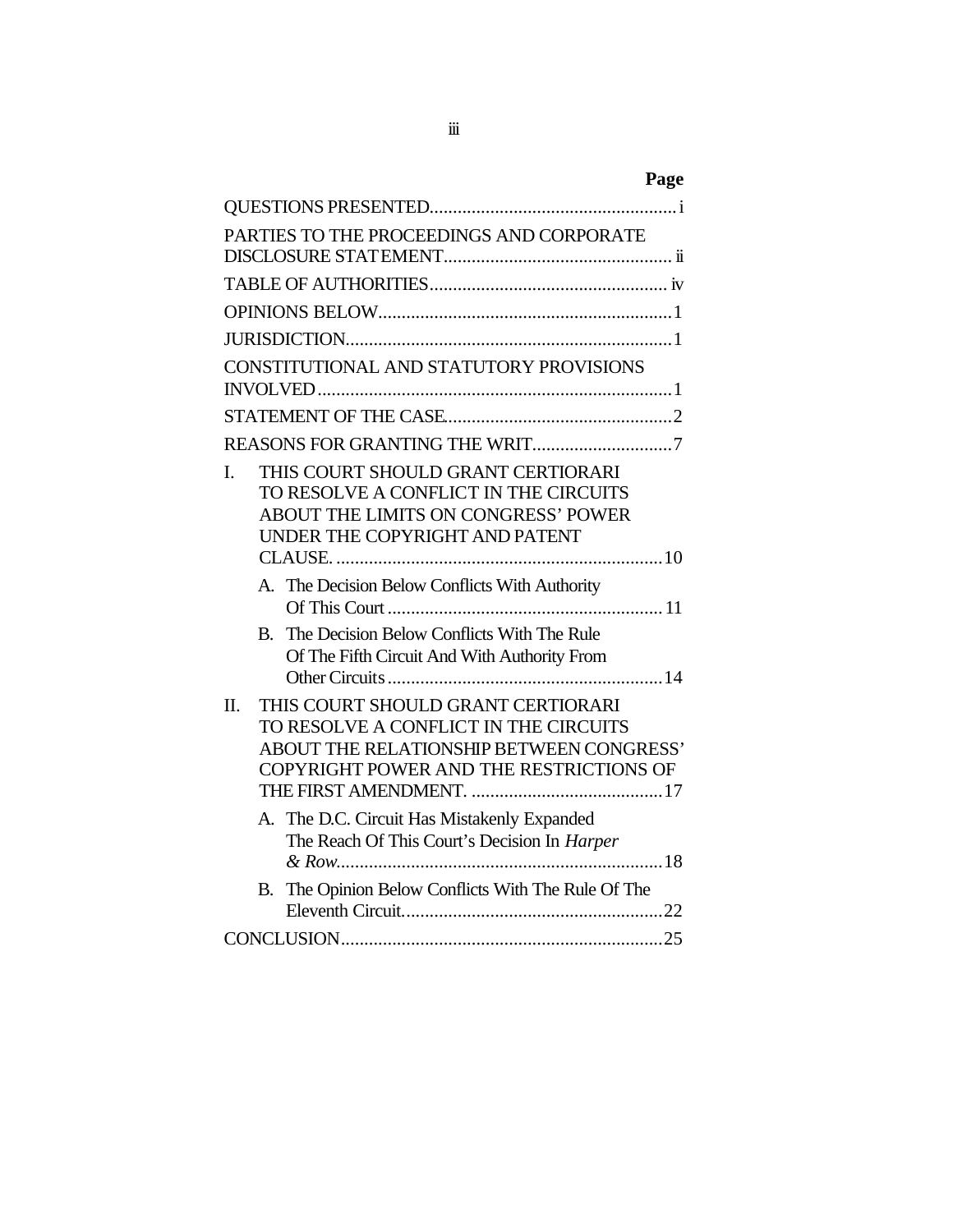| PARTIES TO THE PROCEEDINGS AND CORPORATE                                                                                                                                      |
|-------------------------------------------------------------------------------------------------------------------------------------------------------------------------------|
|                                                                                                                                                                               |
|                                                                                                                                                                               |
|                                                                                                                                                                               |
| CONSTITUTIONAL AND STATUTORY PROVISIONS                                                                                                                                       |
|                                                                                                                                                                               |
|                                                                                                                                                                               |
| THIS COURT SHOULD GRANT CERTIORARI<br>L.<br>TO RESOLVE A CONFLICT IN THE CIRCUITS<br>ABOUT THE LIMITS ON CONGRESS' POWER<br>UNDER THE COPYRIGHT AND PATENT                    |
| A. The Decision Below Conflicts With Authority                                                                                                                                |
| The Decision Below Conflicts With The Rule<br>B.<br>Of The Fifth Circuit And With Authority From                                                                              |
| THIS COURT SHOULD GRANT CERTIORARI<br>$\Pi$ .<br>TO RESOLVE A CONFLICT IN THE CIRCUITS<br>ABOUT THE RELATIONSHIP BETWEEN CONGRESS'<br>COPYRIGHT POWER AND THE RESTRICTIONS OF |
| A. The D.C. Circuit Has Mistakenly Expanded<br>The Reach Of This Court's Decision In Harper                                                                                   |
| B. The Opinion Below Conflicts With The Rule Of The                                                                                                                           |
|                                                                                                                                                                               |

iii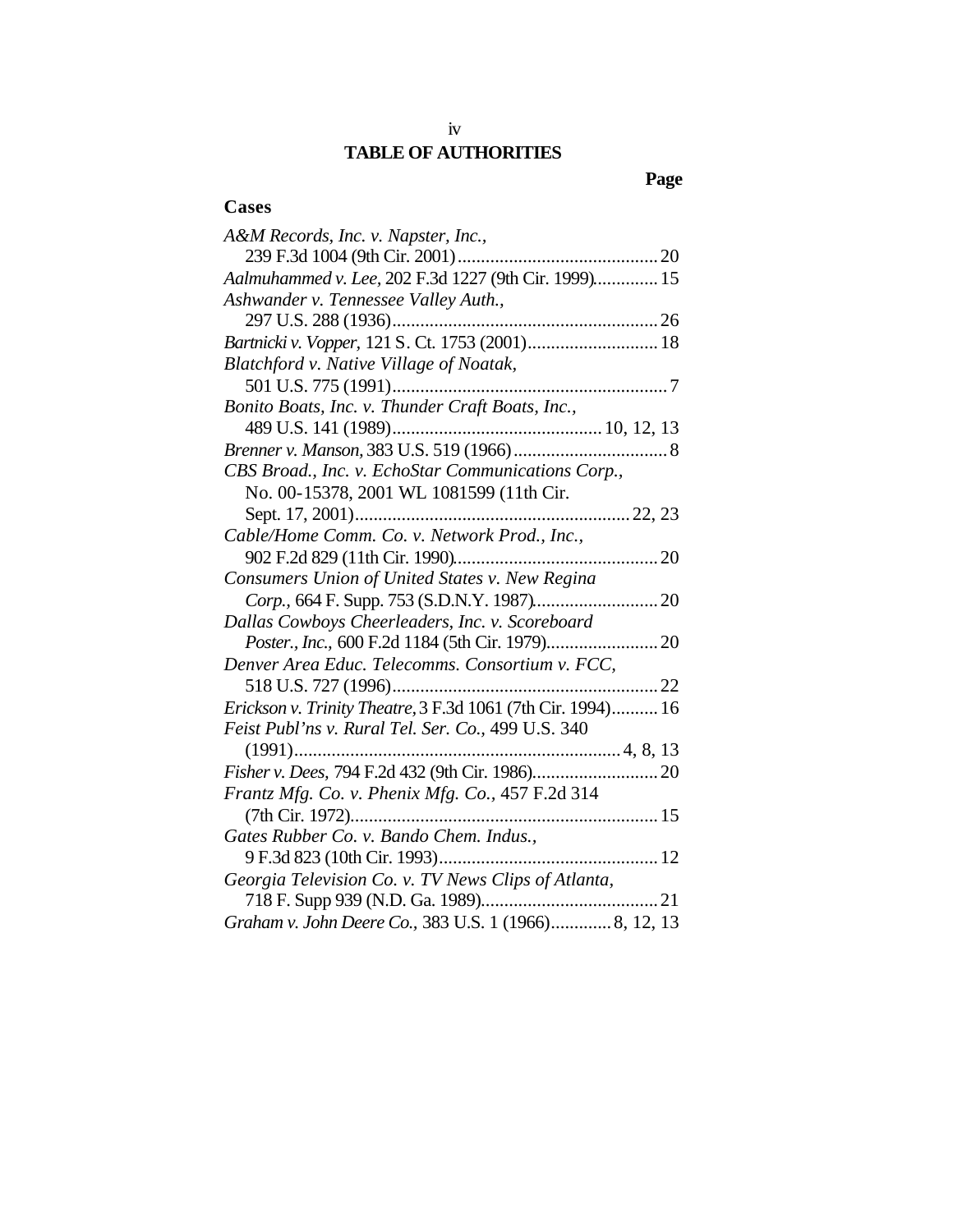# iv **TABLE OF AUTHORITIES**

# **Page**

### **Cases**

| A&M Records, Inc. v. Napster, Inc.,                         |
|-------------------------------------------------------------|
| 239 F.3d 1004 (9th Cir. 2001)                               |
| Aalmuhammed v. Lee, 202 F.3d 1227 (9th Cir. 1999) 15        |
| Ashwander v. Tennessee Valley Auth.,                        |
|                                                             |
| Bartnicki v. Vopper, 121 S. Ct. 1753 (2001) 18              |
| Blatchford v. Native Village of Noatak,                     |
|                                                             |
| Bonito Boats, Inc. v. Thunder Craft Boats, Inc.,            |
|                                                             |
|                                                             |
| CBS Broad., Inc. v. EchoStar Communications Corp.,          |
| No. 00-15378, 2001 WL 1081599 (11th Cir.                    |
|                                                             |
| Cable/Home Comm. Co. v. Network Prod., Inc.,                |
|                                                             |
| Consumers Union of United States v. New Regina              |
|                                                             |
| Dallas Cowboys Cheerleaders, Inc. v. Scoreboard             |
|                                                             |
| Denver Area Educ. Telecomms. Consortium v. FCC,             |
| 518 U.S. 727 (1996)<br>. 22                                 |
| Erickson v. Trinity Theatre, 3 F.3d 1061 (7th Cir. 1994) 16 |
| Feist Publ'ns v. Rural Tel. Ser. Co., 499 U.S. 340          |
|                                                             |
|                                                             |
| Frantz Mfg. Co. v. Phenix Mfg. Co., 457 F.2d 314            |
|                                                             |
| Gates Rubber Co. v. Bando Chem. Indus.,                     |
|                                                             |
| Georgia Television Co. v. TV News Clips of Atlanta,         |
|                                                             |
| Graham v. John Deere Co., 383 U.S. 1 (1966) 8, 12, 13       |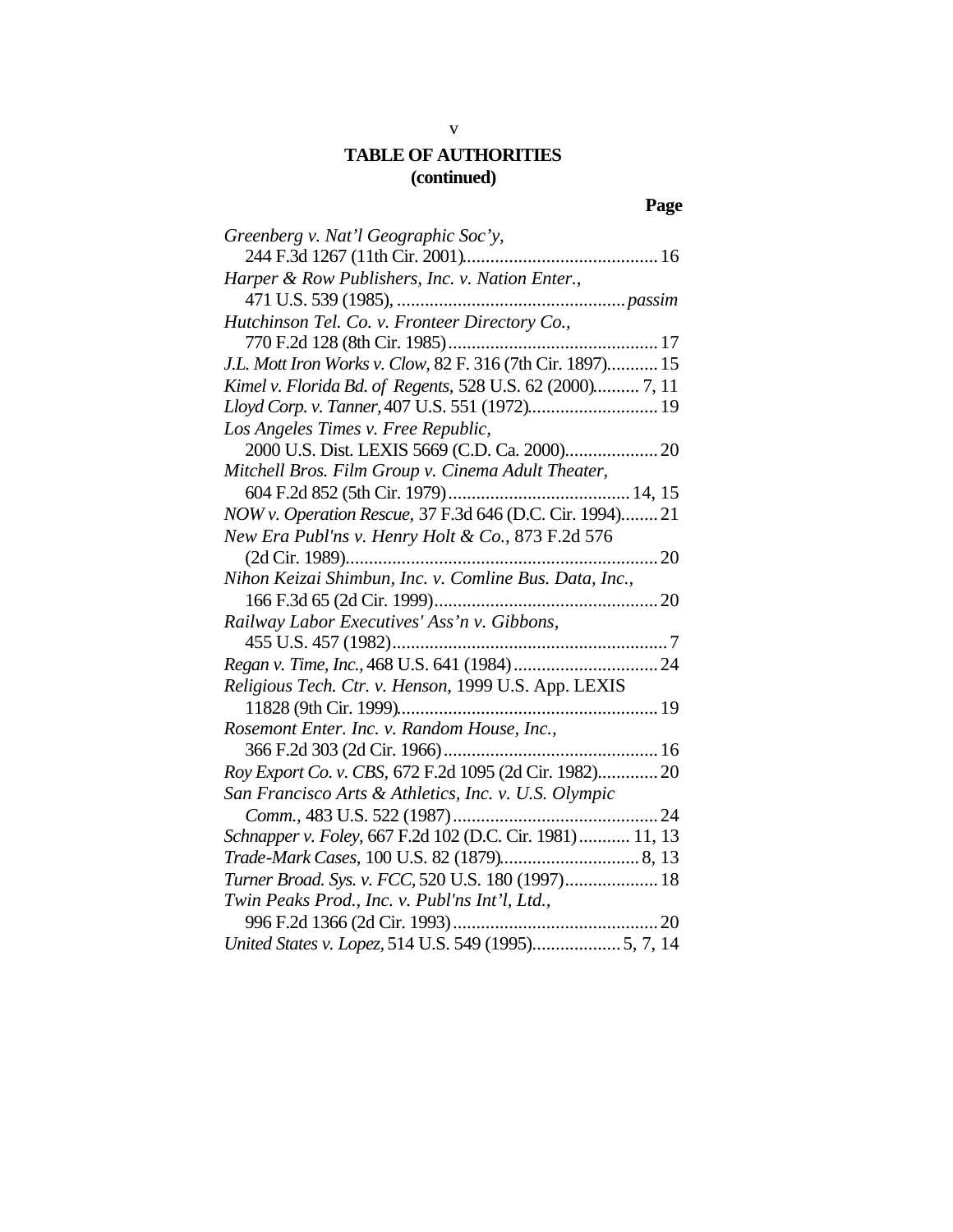# **Page**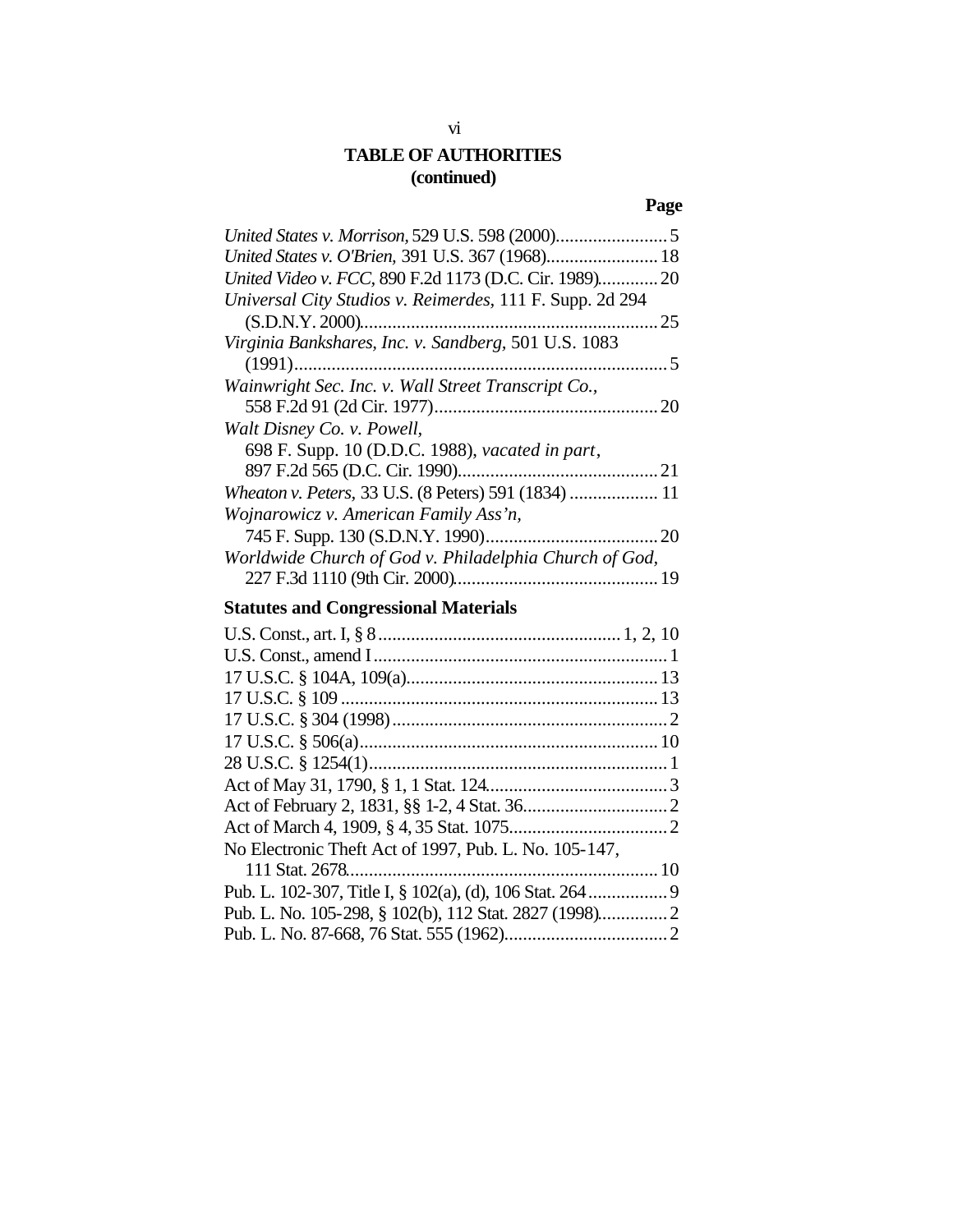# **Page**

| United States v. O'Brien, 391 U.S. 367 (1968) 18         |  |
|----------------------------------------------------------|--|
| United Video v. FCC, 890 F.2d 1173 (D.C. Cir. 1989) 20   |  |
| Universal City Studios v. Reimerdes, 111 F. Supp. 2d 294 |  |
|                                                          |  |
| Virginia Bankshares, Inc. v. Sandberg, 501 U.S. 1083     |  |
|                                                          |  |
| Wainwright Sec. Inc. v. Wall Street Transcript Co.,      |  |
|                                                          |  |
| Walt Disney Co. v. Powell,                               |  |
| 698 F. Supp. 10 (D.D.C. 1988), vacated in part,          |  |
|                                                          |  |
| Wheaton v. Peters, 33 U.S. (8 Peters) 591 (1834)  11     |  |
| Wojnarowicz v. American Family Ass'n,                    |  |
|                                                          |  |
| Worldwide Church of God v. Philadelphia Church of God,   |  |
|                                                          |  |
| <b>Statutes and Congressional Materials</b>              |  |
|                                                          |  |

| No Electronic Theft Act of 1997, Pub. L. No. 105-147, |  |
|-------------------------------------------------------|--|
|                                                       |  |
|                                                       |  |
|                                                       |  |
|                                                       |  |
|                                                       |  |

# vi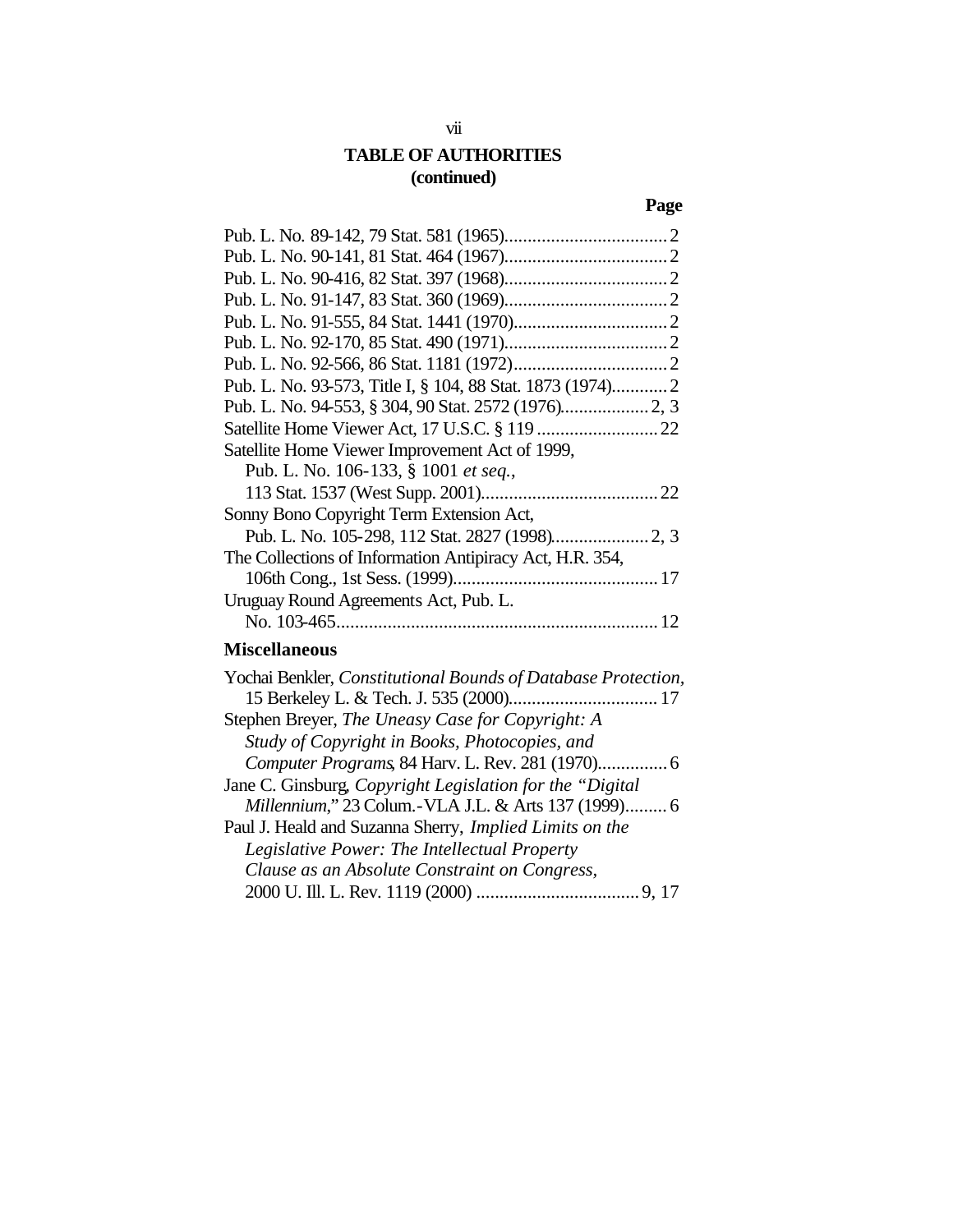# **Page**

| Pub. L. No. 93-573, Title I, § 104, 88 Stat. 1873 (1974) 2                                                                                                                                                                                                                                                              |
|-------------------------------------------------------------------------------------------------------------------------------------------------------------------------------------------------------------------------------------------------------------------------------------------------------------------------|
|                                                                                                                                                                                                                                                                                                                         |
|                                                                                                                                                                                                                                                                                                                         |
| Satellite Home Viewer Improvement Act of 1999,                                                                                                                                                                                                                                                                          |
| Pub. L. No. 106-133, § 1001 et seq.,                                                                                                                                                                                                                                                                                    |
|                                                                                                                                                                                                                                                                                                                         |
| Sonny Bono Copyright Term Extension Act,                                                                                                                                                                                                                                                                                |
|                                                                                                                                                                                                                                                                                                                         |
| The Collections of Information Antipiracy Act, H.R. 354,                                                                                                                                                                                                                                                                |
|                                                                                                                                                                                                                                                                                                                         |
| Uruguay Round Agreements Act, Pub. L.                                                                                                                                                                                                                                                                                   |
|                                                                                                                                                                                                                                                                                                                         |
| <b>Miscellaneous</b>                                                                                                                                                                                                                                                                                                    |
| Yochai Benkler, Constitutional Bounds of Database Protection,                                                                                                                                                                                                                                                           |
|                                                                                                                                                                                                                                                                                                                         |
| $\Gamma$ compared Drawing $\Gamma$ and $\Gamma$ and $\Gamma$ and $\Gamma$ and $\Gamma$ are $\Gamma$ and $\Gamma$ and $\Gamma$ and $\Gamma$ and $\Gamma$ and $\Gamma$ and $\Gamma$ and $\Gamma$ and $\Gamma$ and $\Gamma$ and $\Gamma$ and $\Gamma$ and $\Gamma$ and $\Gamma$ and $\Gamma$ and $\Gamma$ and $\Gamma$ and |

| Stephen Breyer, The Uneasy Case for Copyright: A          |  |
|-----------------------------------------------------------|--|
| Study of Copyright in Books, Photocopies, and             |  |
|                                                           |  |
| Jane C. Ginsburg, Copyright Legislation for the "Digital" |  |
| Millennium," 23 Colum.-VLA J.L. & Arts 137 (1999) 6       |  |
| Paul J. Heald and Suzanna Sherry, Implied Limits on the   |  |
| Legislative Power: The Intellectual Property              |  |
| Clause as an Absolute Constraint on Congress,             |  |
|                                                           |  |

# vii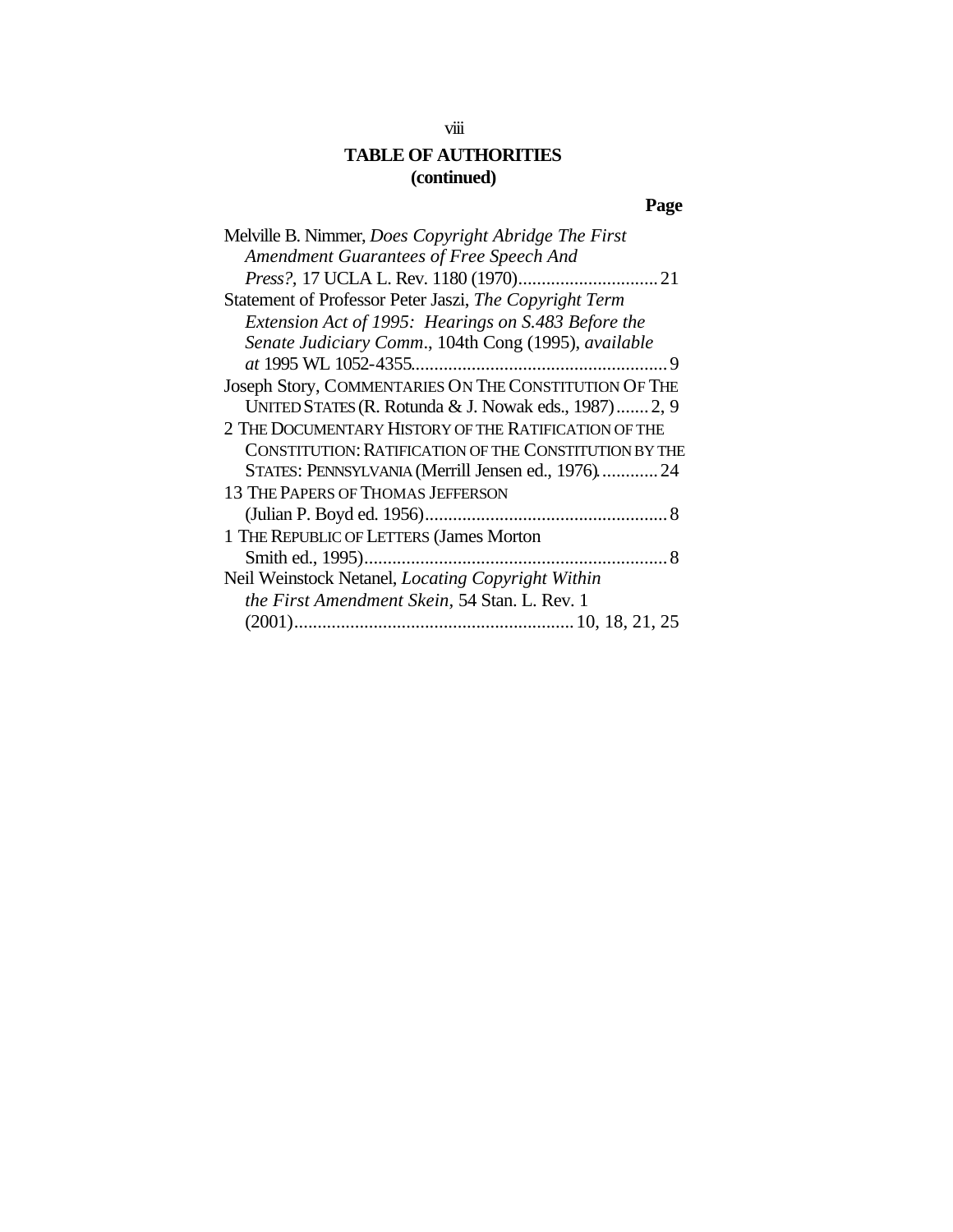# **Page**

| Melville B. Nimmer, Does Copyright Abridge The First   |
|--------------------------------------------------------|
| Amendment Guarantees of Free Speech And                |
|                                                        |
| Statement of Professor Peter Jaszi, The Copyright Term |
| Extension Act of 1995: Hearings on S.483 Before the    |
| Senate Judiciary Comm., 104th Cong (1995), available   |
|                                                        |
| Joseph Story, COMMENTARIES ON THE CONSTITUTION OF THE  |
| UNITED STATES (R. Rotunda & J. Nowak eds., 1987) 2, 9  |
| 2 THE DOCUMENTARY HISTORY OF THE RATIFICATION OF THE   |
| CONSTITUTION: RATIFICATION OF THE CONSTITUTION BY THE  |
| STATES: PENNSYLVANIA (Merrill Jensen ed., 1976) 24     |
| <b>13 THE PAPERS OF THOMAS JEFFERSON</b>               |
|                                                        |
| 1 THE REPUBLIC OF LETTERS (James Morton                |
|                                                        |
| Neil Weinstock Netanel, Locating Copyright Within      |
| the First Amendment Skein, 54 Stan. L. Rev. 1          |
|                                                        |
|                                                        |

# viii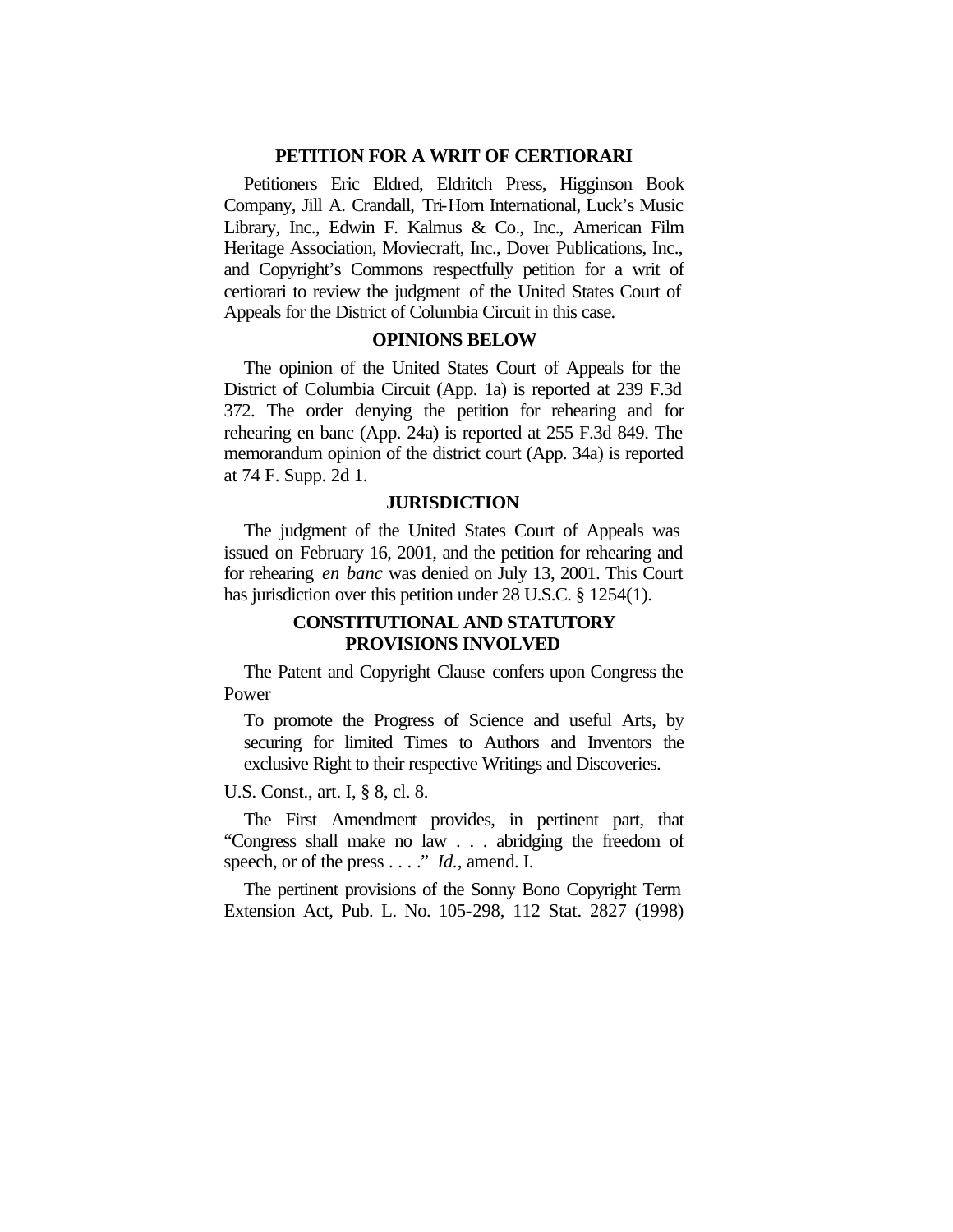#### **PETITION FOR A WRIT OF CERTIORARI**

Petitioners Eric Eldred, Eldritch Press, Higginson Book Company, Jill A. Crandall, Tri-Horn International, Luck's Music Library, Inc., Edwin F. Kalmus & Co., Inc., American Film Heritage Association, Moviecraft, Inc., Dover Publications, Inc., and Copyright's Commons respectfully petition for a writ of certiorari to review the judgment of the United States Court of Appeals for the District of Columbia Circuit in this case.

#### **OPINIONS BELOW**

The opinion of the United States Court of Appeals for the District of Columbia Circuit (App. 1a) is reported at 239 F.3d 372. The order denying the petition for rehearing and for rehearing en banc (App. 24a) is reported at 255 F.3d 849. The memorandum opinion of the district court (App. 34a) is reported at 74 F. Supp. 2d 1.

#### **JURISDICTION**

The judgment of the United States Court of Appeals was issued on February 16, 2001, and the petition for rehearing and for rehearing *en banc* was denied on July 13, 2001. This Court has jurisdiction over this petition under 28 U.S.C. § 1254(1).

#### **CONSTITUTIONAL AND STATUTORY PROVISIONS INVOLVED**

The Patent and Copyright Clause confers upon Congress the Power

To promote the Progress of Science and useful Arts, by securing for limited Times to Authors and Inventors the exclusive Right to their respective Writings and Discoveries.

U.S. Const., art. I, § 8, cl. 8.

The First Amendment provides, in pertinent part, that "Congress shall make no law . . . abridging the freedom of speech, or of the press . . . ." *Id.,* amend. I.

The pertinent provisions of the Sonny Bono Copyright Term Extension Act, Pub. L. No. 105-298, 112 Stat. 2827 (1998)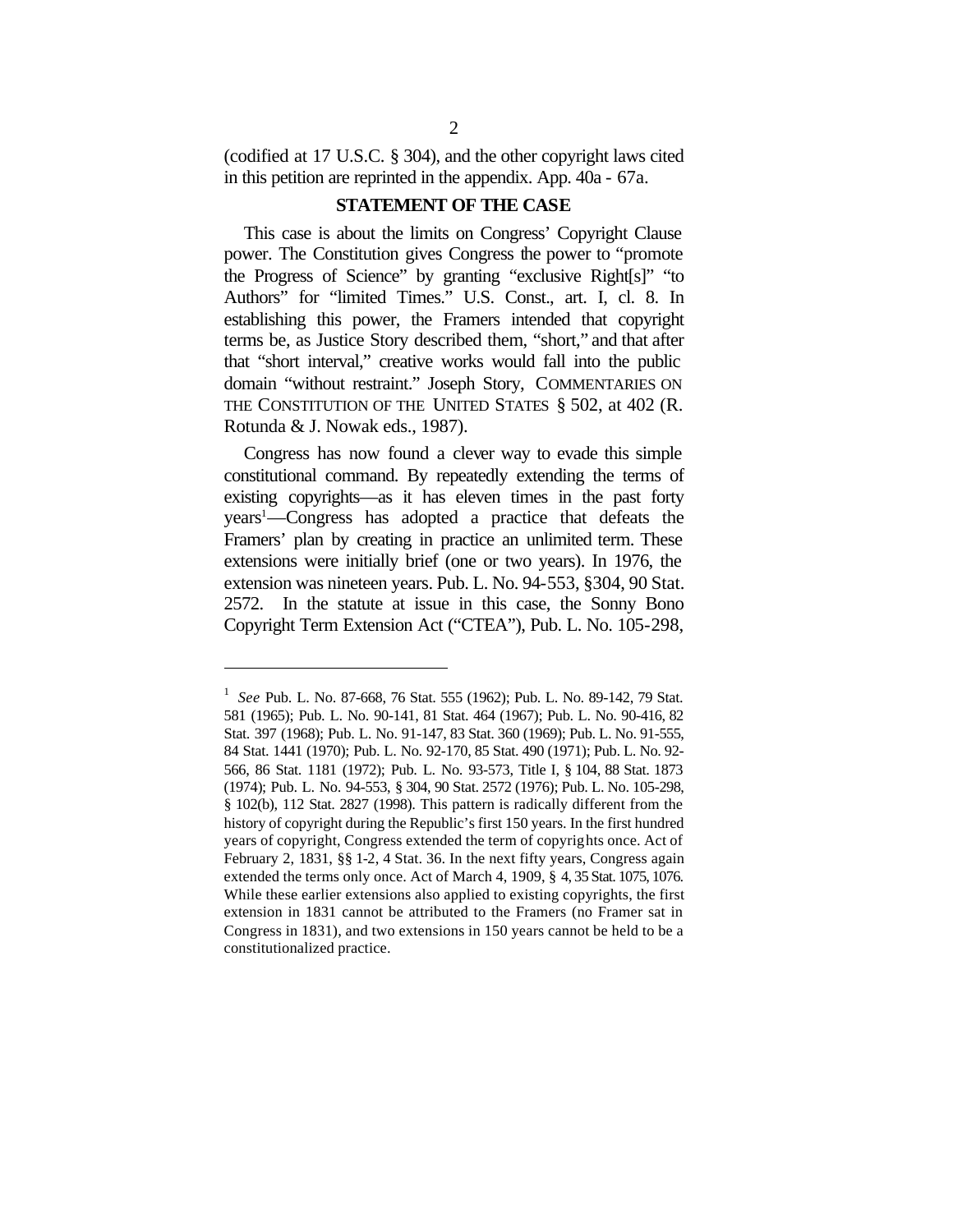(codified at 17 U.S.C. § 304), and the other copyright laws cited in this petition are reprinted in the appendix. App. 40a - 67a.

### **STATEMENT OF THE CASE**

This case is about the limits on Congress' Copyright Clause power. The Constitution gives Congress the power to "promote the Progress of Science" by granting "exclusive Right[s]" "to Authors" for "limited Times." U.S. Const., art. I, cl. 8. In establishing this power, the Framers intended that copyright terms be, as Justice Story described them, "short," and that after that "short interval," creative works would fall into the public domain "without restraint." Joseph Story, COMMENTARIES ON THE CONSTITUTION OF THE UNITED STATES § 502, at 402 (R. Rotunda & J. Nowak eds., 1987).

Congress has now found a clever way to evade this simple constitutional command. By repeatedly extending the terms of existing copyrights—as it has eleven times in the past forty years<sup>1</sup>—Congress has adopted a practice that defeats the Framers' plan by creating in practice an unlimited term. These extensions were initially brief (one or two years). In 1976, the extension was nineteen years. Pub. L. No. 94-553, §304, 90 Stat. 2572. In the statute at issue in this case, the Sonny Bono Copyright Term Extension Act ("CTEA"), Pub. L. No. 105-298,

<sup>1</sup> *See* Pub. L. No. 87-668, 76 Stat. 555 (1962); Pub. L. No. 89-142, 79 Stat. 581 (1965); Pub. L. No. 90-141, 81 Stat. 464 (1967); Pub. L. No. 90-416, 82 Stat. 397 (1968); Pub. L. No. 91-147, 83 Stat. 360 (1969); Pub. L. No. 91-555, 84 Stat. 1441 (1970); Pub. L. No. 92-170, 85 Stat. 490 (1971); Pub. L. No. 92- 566, 86 Stat. 1181 (1972); Pub. L. No. 93-573, Title I, § 104, 88 Stat. 1873 (1974); Pub. L. No. 94-553, § 304, 90 Stat. 2572 (1976); Pub. L. No. 105-298, § 102(b), 112 Stat. 2827 (1998). This pattern is radically different from the history of copyright during the Republic's first 150 years. In the first hundred years of copyright, Congress extended the term of copyrights once. Act of February 2, 1831, §§ 1-2, 4 Stat. 36. In the next fifty years, Congress again extended the terms only once. Act of March 4, 1909, § 4, 35 Stat. 1075, 1076. While these earlier extensions also applied to existing copyrights, the first extension in 1831 cannot be attributed to the Framers (no Framer sat in Congress in 1831), and two extensions in 150 years cannot be held to be a constitutionalized practice.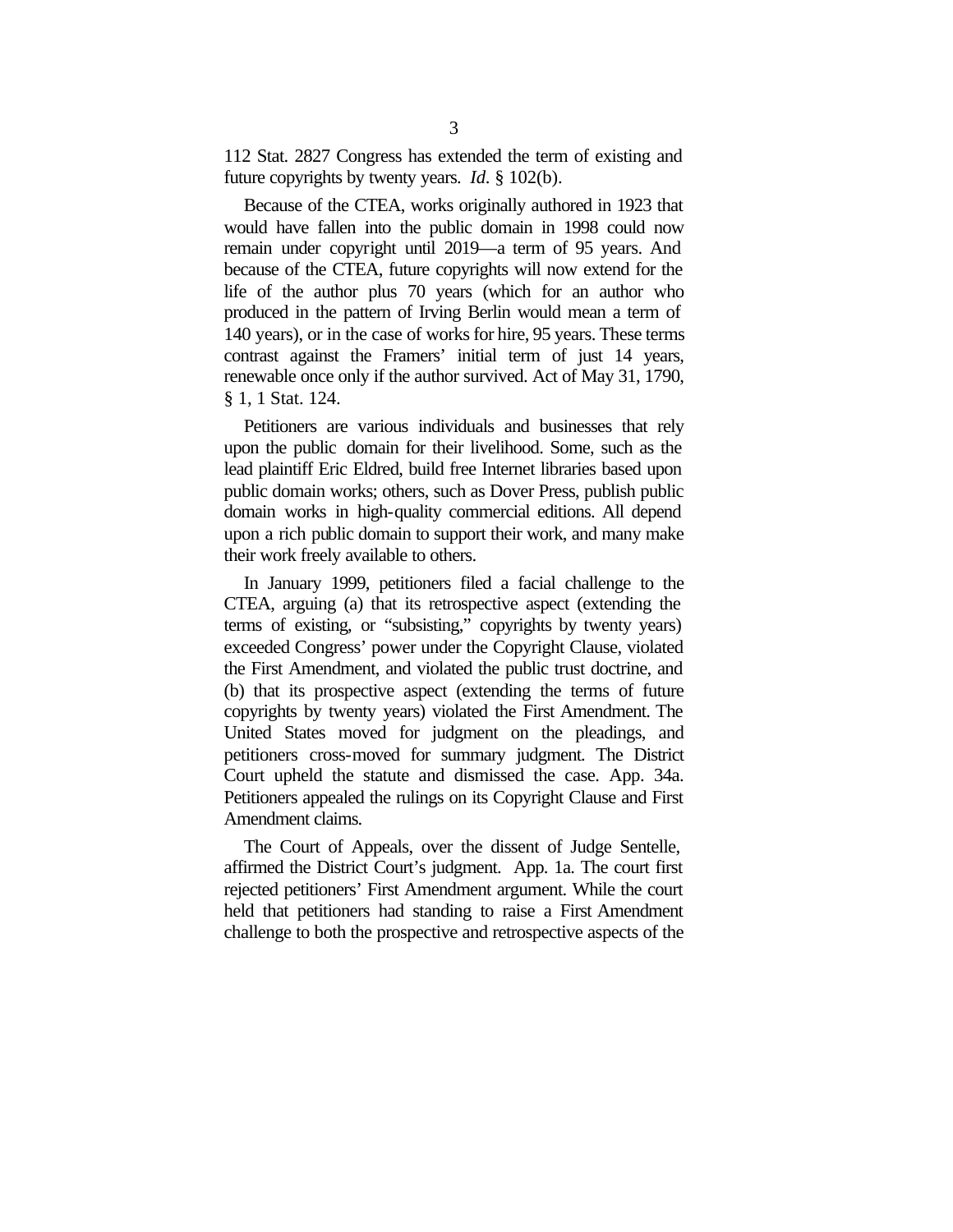112 Stat. 2827 Congress has extended the term of existing and future copyrights by twenty years. *Id*. § 102(b).

Because of the CTEA, works originally authored in 1923 that would have fallen into the public domain in 1998 could now remain under copyright until 2019—a term of 95 years. And because of the CTEA, future copyrights will now extend for the life of the author plus 70 years (which for an author who produced in the pattern of Irving Berlin would mean a term of 140 years), or in the case of works for hire, 95 years. These terms contrast against the Framers' initial term of just 14 years, renewable once only if the author survived. Act of May 31, 1790, § 1, 1 Stat. 124.

Petitioners are various individuals and businesses that rely upon the public domain for their livelihood. Some, such as the lead plaintiff Eric Eldred, build free Internet libraries based upon public domain works; others, such as Dover Press, publish public domain works in high-quality commercial editions. All depend upon a rich public domain to support their work, and many make their work freely available to others.

In January 1999, petitioners filed a facial challenge to the CTEA, arguing (a) that its retrospective aspect (extending the terms of existing, or "subsisting," copyrights by twenty years) exceeded Congress' power under the Copyright Clause, violated the First Amendment, and violated the public trust doctrine, and (b) that its prospective aspect (extending the terms of future copyrights by twenty years) violated the First Amendment. The United States moved for judgment on the pleadings, and petitioners cross-moved for summary judgment. The District Court upheld the statute and dismissed the case. App. 34a. Petitioners appealed the rulings on its Copyright Clause and First Amendment claims.

The Court of Appeals, over the dissent of Judge Sentelle, affirmed the District Court's judgment. App. 1a. The court first rejected petitioners' First Amendment argument. While the court held that petitioners had standing to raise a First Amendment challenge to both the prospective and retrospective aspects of the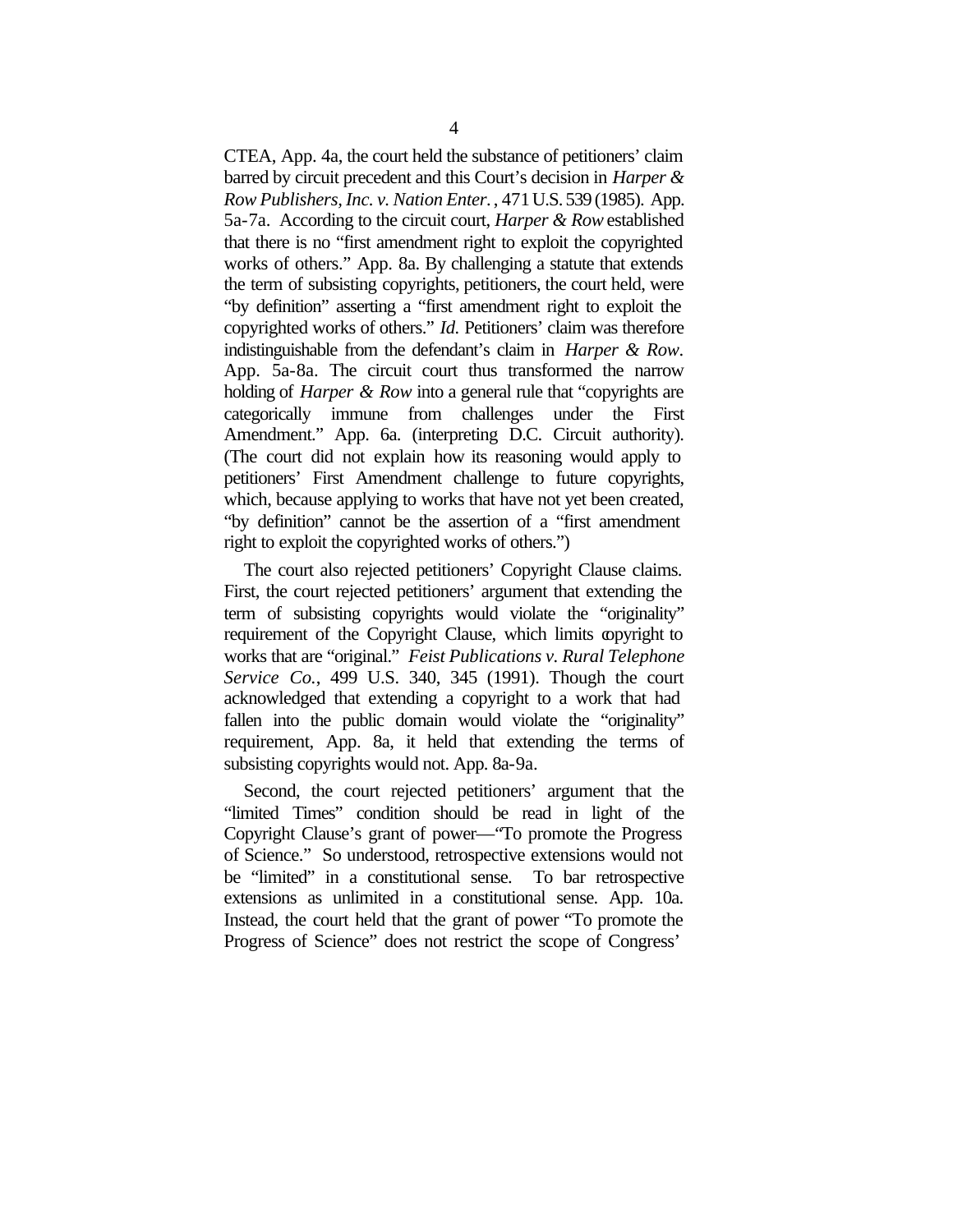CTEA, App. 4a, the court held the substance of petitioners' claim barred by circuit precedent and this Court's decision in *Harper & Row Publishers, Inc. v. Nation Enter.*, 471 U.S. 539 (1985). App. 5a-7a. According to the circuit court, *Harper & Row* established that there is no "first amendment right to exploit the copyrighted works of others." App. 8a. By challenging a statute that extends the term of subsisting copyrights, petitioners, the court held, were "by definition" asserting a "first amendment right to exploit the copyrighted works of others." *Id.* Petitioners' claim was therefore indistinguishable from the defendant's claim in *Harper & Row*. App. 5a-8a. The circuit court thus transformed the narrow holding of *Harper & Row* into a general rule that "copyrights are categorically immune from challenges under the First Amendment." App. 6a. (interpreting D.C. Circuit authority). (The court did not explain how its reasoning would apply to petitioners' First Amendment challenge to future copyrights, which, because applying to works that have not yet been created, "by definition" cannot be the assertion of a "first amendment right to exploit the copyrighted works of others.")

The court also rejected petitioners' Copyright Clause claims. First, the court rejected petitioners' argument that extending the term of subsisting copyrights would violate the "originality" requirement of the Copyright Clause, which limits copyright to works that are "original." *Feist Publications v. Rural Telephone Service Co.*, 499 U.S. 340, 345 (1991). Though the court acknowledged that extending a copyright to a work that had fallen into the public domain would violate the "originality" requirement, App. 8a, it held that extending the terms of subsisting copyrights would not. App. 8a-9a.

Second, the court rejected petitioners' argument that the "limited Times" condition should be read in light of the Copyright Clause's grant of power—"To promote the Progress of Science." So understood, retrospective extensions would not be "limited" in a constitutional sense. To bar retrospective extensions as unlimited in a constitutional sense. App. 10a. Instead, the court held that the grant of power "To promote the Progress of Science" does not restrict the scope of Congress'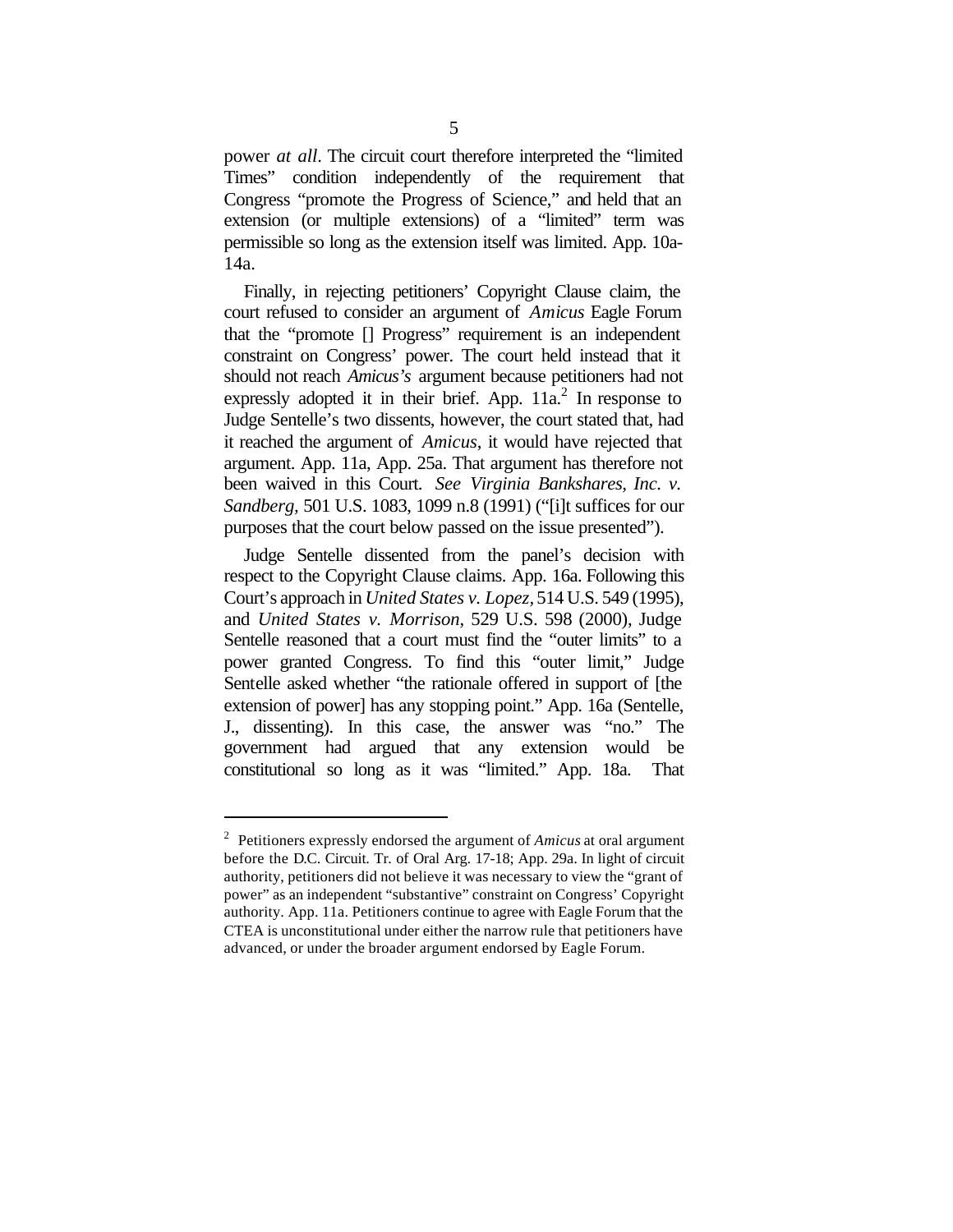power *at all*. The circuit court therefore interpreted the "limited Times" condition independently of the requirement that Congress "promote the Progress of Science," and held that an extension (or multiple extensions) of a "limited" term was permissible so long as the extension itself was limited. App. 10a-14a.

Finally, in rejecting petitioners' Copyright Clause claim, the court refused to consider an argument of *Amicus* Eagle Forum that the "promote [] Progress" requirement is an independent constraint on Congress' power. The court held instead that it should not reach *Amicus's* argument because petitioners had not expressly adopted it in their brief. App.  $11a<sup>2</sup>$  In response to Judge Sentelle's two dissents, however, the court stated that, had it reached the argument of *Amicus*, it would have rejected that argument. App. 11a, App. 25a. That argument has therefore not been waived in this Court. *See Virginia Bankshares, Inc. v. Sandberg,* 501 U.S. 1083, 1099 n.8 (1991) ("[i]t suffices for our purposes that the court below passed on the issue presented").

Judge Sentelle dissented from the panel's decision with respect to the Copyright Clause claims. App. 16a. Following this Court's approach in *United States v. Lopez,* 514 U.S. 549 (1995), and *United States v. Morrison*, 529 U.S. 598 (2000), Judge Sentelle reasoned that a court must find the "outer limits" to a power granted Congress. To find this "outer limit," Judge Sentelle asked whether "the rationale offered in support of [the extension of power] has any stopping point." App. 16a (Sentelle, J., dissenting). In this case, the answer was "no." The government had argued that any extension would be constitutional so long as it was "limited." App. 18a. That

<sup>2</sup> Petitioners expressly endorsed the argument of *Amicus* at oral argument before the D.C. Circuit. Tr. of Oral Arg. 17-18; App. 29a. In light of circuit authority, petitioners did not believe it was necessary to view the "grant of power" as an independent "substantive" constraint on Congress' Copyright authority. App. 11a. Petitioners continue to agree with Eagle Forum that the CTEA is unconstitutional under either the narrow rule that petitioners have advanced, or under the broader argument endorsed by Eagle Forum.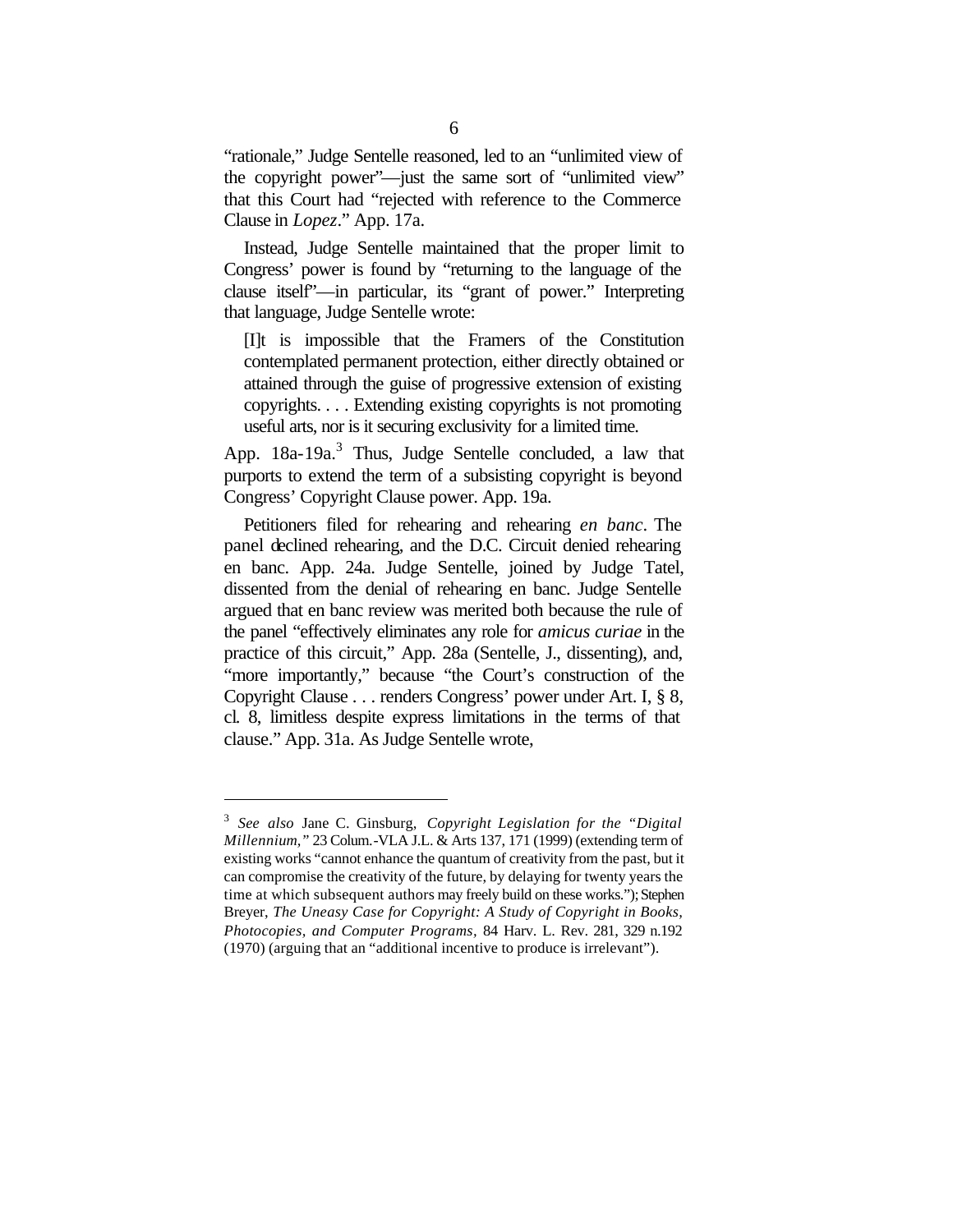"rationale," Judge Sentelle reasoned, led to an "unlimited view of the copyright power"—just the same sort of "unlimited view" that this Court had "rejected with reference to the Commerce Clause in *Lopez*." App. 17a.

Instead, Judge Sentelle maintained that the proper limit to Congress' power is found by "returning to the language of the clause itself"—in particular, its "grant of power." Interpreting that language, Judge Sentelle wrote:

[I]t is impossible that the Framers of the Constitution contemplated permanent protection, either directly obtained or attained through the guise of progressive extension of existing copyrights. . . . Extending existing copyrights is not promoting useful arts, nor is it securing exclusivity for a limited time.

App. 18a-19a.<sup>3</sup> Thus, Judge Sentelle concluded, a law that purports to extend the term of a subsisting copyright is beyond Congress' Copyright Clause power. App. 19a.

Petitioners filed for rehearing and rehearing *en banc*. The panel declined rehearing, and the D.C. Circuit denied rehearing en banc. App. 24a. Judge Sentelle, joined by Judge Tatel, dissented from the denial of rehearing en banc. Judge Sentelle argued that en banc review was merited both because the rule of the panel "effectively eliminates any role for *amicus curiae* in the practice of this circuit," App. 28a (Sentelle, J., dissenting), and, "more importantly," because "the Court's construction of the Copyright Clause . . . renders Congress' power under Art. I, § 8, cl. 8, limitless despite express limitations in the terms of that clause." App. 31a. As Judge Sentelle wrote,

<sup>3</sup> *See also* Jane C. Ginsburg, *Copyright Legislation for the "Digital Millennium,"* 23 Colum.-VLA J.L. & Arts 137, 171 (1999) (extending term of existing works "cannot enhance the quantum of creativity from the past, but it can compromise the creativity of the future, by delaying for twenty years the time at which subsequent authors may freely build on these works."); Stephen Breyer, *The Uneasy Case for Copyright: A Study of Copyright in Books, Photocopies, and Computer Programs,* 84 Harv. L. Rev. 281, 329 n.192 (1970) (arguing that an "additional incentive to produce is irrelevant").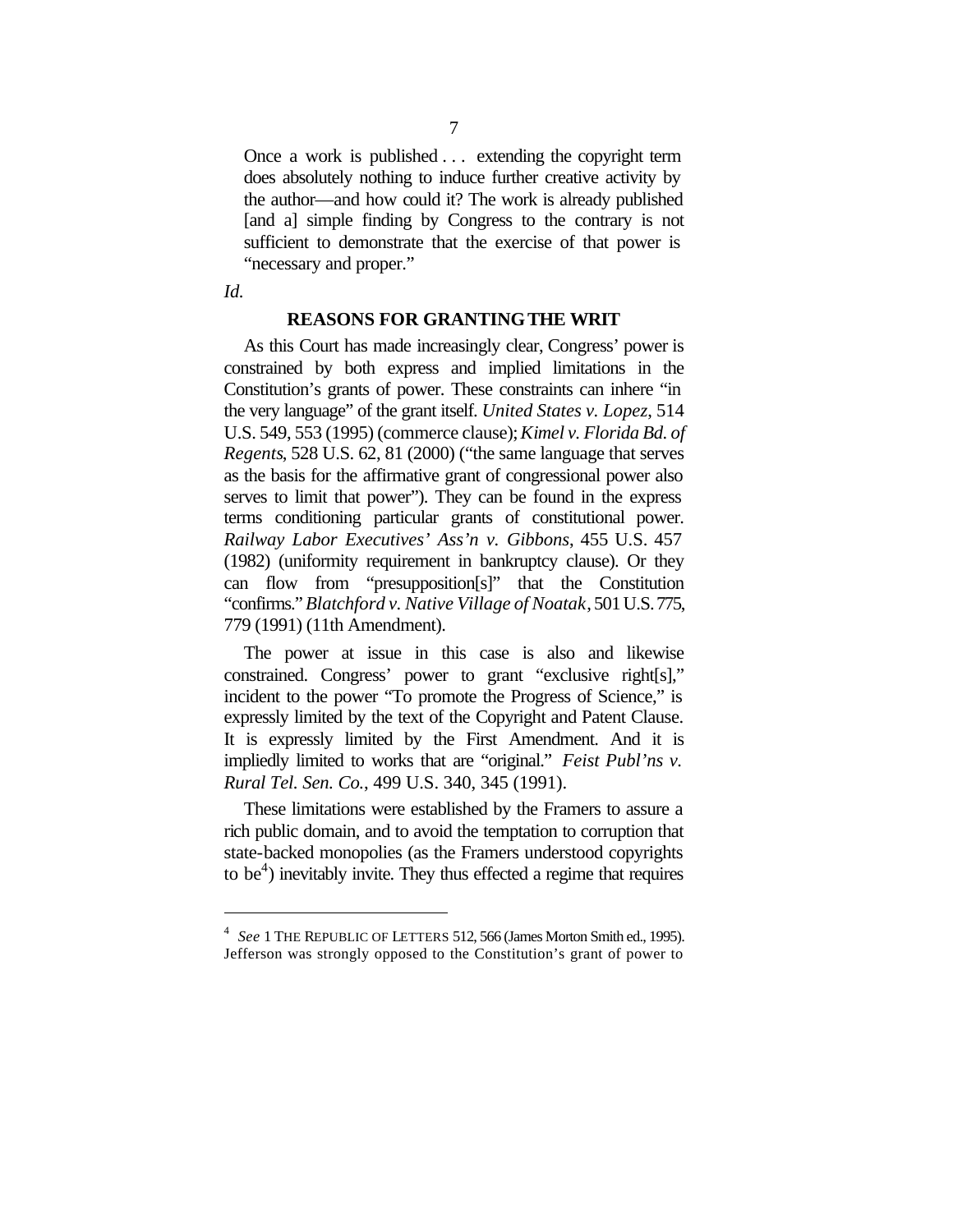Once a work is published . . . extending the copyright term does absolutely nothing to induce further creative activity by the author—and how could it? The work is already published [and a] simple finding by Congress to the contrary is not sufficient to demonstrate that the exercise of that power is "necessary and proper."

*Id.*

 $\overline{a}$ 

#### **REASONS FOR GRANTING THE WRIT**

As this Court has made increasingly clear, Congress' power is constrained by both express and implied limitations in the Constitution's grants of power. These constraints can inhere "in the very language" of the grant itself. *United States v. Lopez*, 514 U.S. 549, 553 (1995) (commerce clause); *Kimel v. Florida Bd. of Regents*, 528 U.S. 62, 81 (2000) ("the same language that serves as the basis for the affirmative grant of congressional power also serves to limit that power"). They can be found in the express terms conditioning particular grants of constitutional power. *Railway Labor Executives' Ass'n v. Gibbons*, 455 U.S. 457 (1982) (uniformity requirement in bankruptcy clause). Or they can flow from "presupposition[s]" that the Constitution "confirms." *Blatchford v. Native Village of Noatak*, 501 U.S. 775, 779 (1991) (11th Amendment).

The power at issue in this case is also and likewise constrained. Congress' power to grant "exclusive right[s]," incident to the power "To promote the Progress of Science," is expressly limited by the text of the Copyright and Patent Clause. It is expressly limited by the First Amendment. And it is impliedly limited to works that are "original." *Feist Publ'ns v. Rural Tel. Sen. Co.*, 499 U.S. 340, 345 (1991).

These limitations were established by the Framers to assure a rich public domain, and to avoid the temptation to corruption that state-backed monopolies (as the Framers understood copyrights to be $<sup>4</sup>$ ) inevitably invite. They thus effected a regime that requires</sup>

<sup>4</sup> *See* 1 THE REPUBLIC OF LETTERS 512, 566 (James Morton Smith ed., 1995). Jefferson was strongly opposed to the Constitution's grant of power to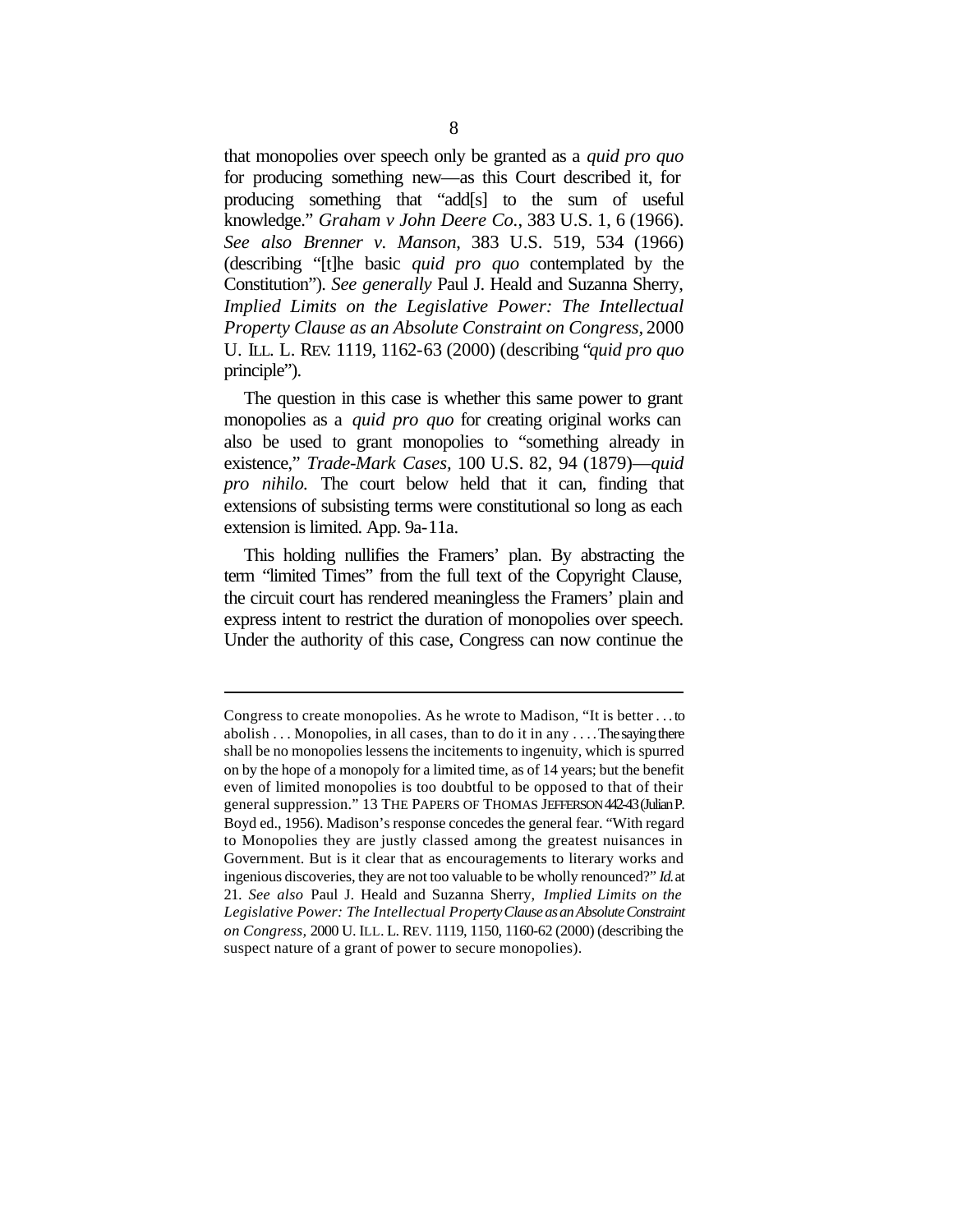that monopolies over speech only be granted as a *quid pro quo* for producing something new—as this Court described it, for producing something that "add[s] to the sum of useful knowledge." *Graham v John Deere Co.*, 383 U.S. 1, 6 (1966). *See also Brenner v. Manson*, 383 U.S. 519, 534 (1966) (describing "[t]he basic *quid pro quo* contemplated by the Constitution"). *See generally* Paul J. Heald and Suzanna Sherry, *Implied Limits on the Legislative Power: The Intellectual Property Clause as an Absolute Constraint on Congress,* 2000 U. ILL. L. REV. 1119, 1162-63 (2000) (describing "*quid pro quo* principle").

The question in this case is whether this same power to grant monopolies as a *quid pro quo* for creating original works can also be used to grant monopolies to "something already in existence," *Trade-Mark Cases,* 100 U.S. 82, 94 (1879)—*quid pro nihilo.* The court below held that it can, finding that extensions of subsisting terms were constitutional so long as each extension is limited. App. 9a-11a.

This holding nullifies the Framers' plan. By abstracting the term "limited Times" from the full text of the Copyright Clause, the circuit court has rendered meaningless the Framers' plain and express intent to restrict the duration of monopolies over speech. Under the authority of this case, Congress can now continue the

Congress to create monopolies. As he wrote to Madison, "It is better . . . to abolish . . . Monopolies, in all cases, than to do it in any . . . . The saying there shall be no monopolies lessens the incitements to ingenuity, which is spurred on by the hope of a monopoly for a limited time, as of 14 years; but the benefit even of limited monopolies is too doubtful to be opposed to that of their general suppression." 13 THE PAPERS OF THOMAS JEFFERSON 442-43 (Julian P. Boyd ed., 1956). Madison's response concedes the general fear. "With regard to Monopolies they are justly classed among the greatest nuisances in Government. But is it clear that as encouragements to literary works and ingenious discoveries, they are not too valuable to be wholly renounced?" *Id.* at 21. *See also* Paul J. Heald and Suzanna Sherry, *Implied Limits on the Legislative Power: The Intellectual Property Clause as an Absolute Constraint on Congress,* 2000 U. ILL. L. REV. 1119, 1150, 1160-62 (2000) (describing the suspect nature of a grant of power to secure monopolies).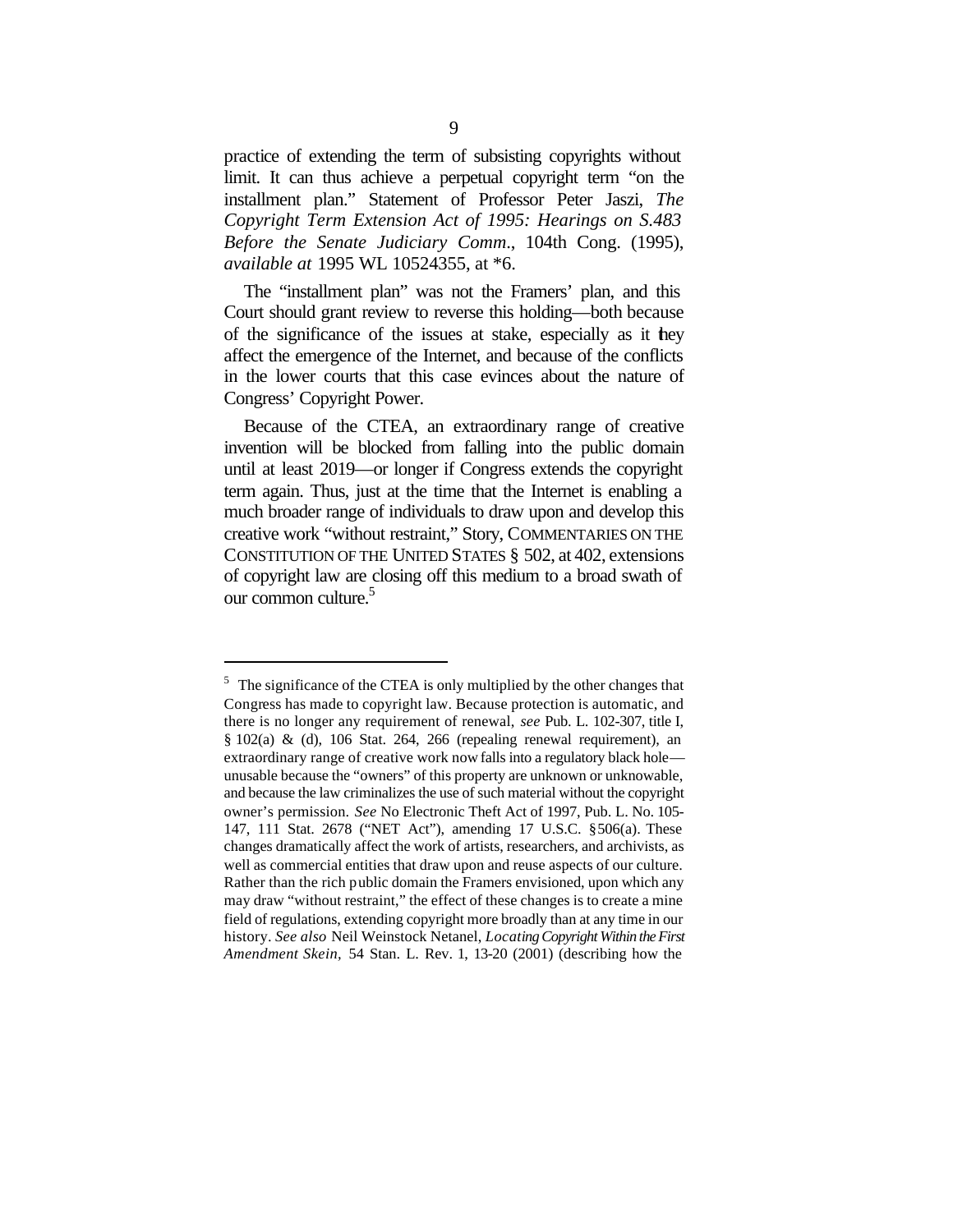practice of extending the term of subsisting copyrights without limit. It can thus achieve a perpetual copyright term "on the installment plan." Statement of Professor Peter Jaszi, *The Copyright Term Extension Act of 1995: Hearings on S.483 Before the Senate Judiciary Comm*., 104th Cong. (1995), *available at* 1995 WL 10524355, at \*6.

The "installment plan" was not the Framers' plan, and this Court should grant review to reverse this holding—both because of the significance of the issues at stake, especially as it they affect the emergence of the Internet, and because of the conflicts in the lower courts that this case evinces about the nature of Congress' Copyright Power.

Because of the CTEA, an extraordinary range of creative invention will be blocked from falling into the public domain until at least 2019—or longer if Congress extends the copyright term again. Thus, just at the time that the Internet is enabling a much broader range of individuals to draw upon and develop this creative work "without restraint," Story, COMMENTARIES ON THE CONSTITUTION OF THE UNITED STATES § 502, at 402, extensions of copyright law are closing off this medium to a broad swath of our common culture.<sup>5</sup>

 $5$  The significance of the CTEA is only multiplied by the other changes that Congress has made to copyright law. Because protection is automatic, and there is no longer any requirement of renewal, *see* Pub. L. 102-307, title I, § 102(a) & (d), 106 Stat. 264, 266 (repealing renewal requirement), an extraordinary range of creative work now falls into a regulatory black hole unusable because the "owners" of this property are unknown or unknowable, and because the law criminalizes the use of such material without the copyright owner's permission. *See* No Electronic Theft Act of 1997, Pub. L. No. 105- 147, 111 Stat. 2678 ("NET Act"), amending 17 U.S.C. §506(a). These changes dramatically affect the work of artists, researchers, and archivists, as well as commercial entities that draw upon and reuse aspects of our culture. Rather than the rich public domain the Framers envisioned, upon which any may draw "without restraint," the effect of these changes is to create a mine field of regulations, extending copyright more broadly than at any time in our history. *See also* Neil Weinstock Netanel, *Locating Copyright Within the First Amendment Skein,* 54 Stan. L. Rev. 1, 13-20 (2001) (describing how the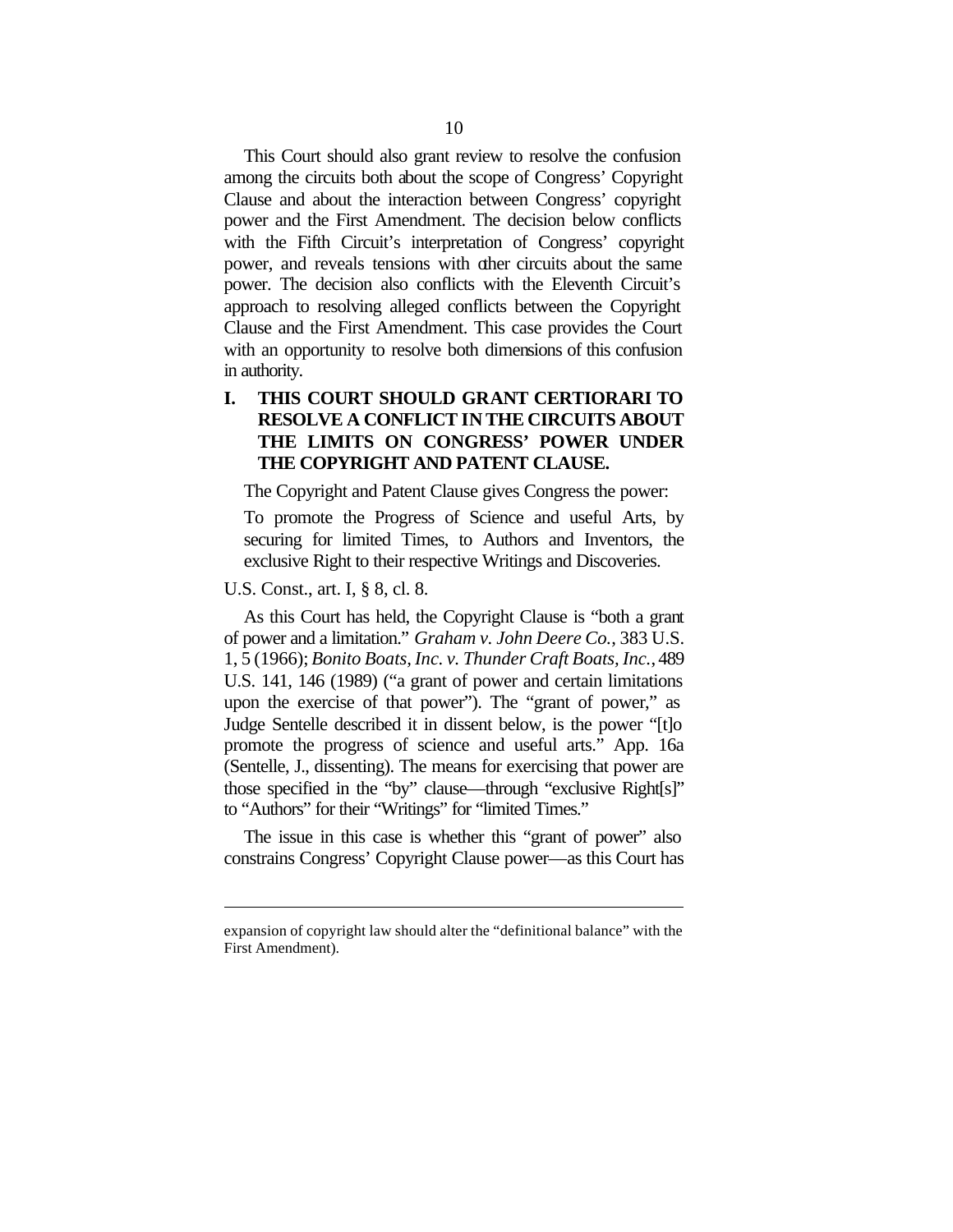This Court should also grant review to resolve the confusion among the circuits both about the scope of Congress' Copyright Clause and about the interaction between Congress' copyright power and the First Amendment. The decision below conflicts with the Fifth Circuit's interpretation of Congress' copyright power, and reveals tensions with other circuits about the same power. The decision also conflicts with the Eleventh Circuit's approach to resolving alleged conflicts between the Copyright Clause and the First Amendment. This case provides the Court with an opportunity to resolve both dimensions of this confusion in authority.

### **I. THIS COURT SHOULD GRANT CERTIORARI TO RESOLVE A CONFLICT IN THE CIRCUITS ABOUT THE LIMITS ON CONGRESS' POWER UNDER THE COPYRIGHT AND PATENT CLAUSE.**

The Copyright and Patent Clause gives Congress the power:

To promote the Progress of Science and useful Arts, by securing for limited Times, to Authors and Inventors, the exclusive Right to their respective Writings and Discoveries.

#### U.S. Const., art. I, § 8, cl. 8.

 $\overline{a}$ 

As this Court has held, the Copyright Clause is "both a grant of power and a limitation." *Graham v. John Deere Co.*, 383 U.S. 1, 5 (1966); *Bonito Boats, Inc. v. Thunder Craft Boats, Inc.*, 489 U.S. 141, 146 (1989) ("a grant of power and certain limitations upon the exercise of that power"). The "grant of power," as Judge Sentelle described it in dissent below, is the power "[t]o promote the progress of science and useful arts." App. 16a (Sentelle, J., dissenting). The means for exercising that power are those specified in the "by" clause—through "exclusive Right[s]" to "Authors" for their "Writings" for "limited Times."

The issue in this case is whether this "grant of power" also constrains Congress' Copyright Clause power—as this Court has

expansion of copyright law should alter the "definitional balance" with the First Amendment).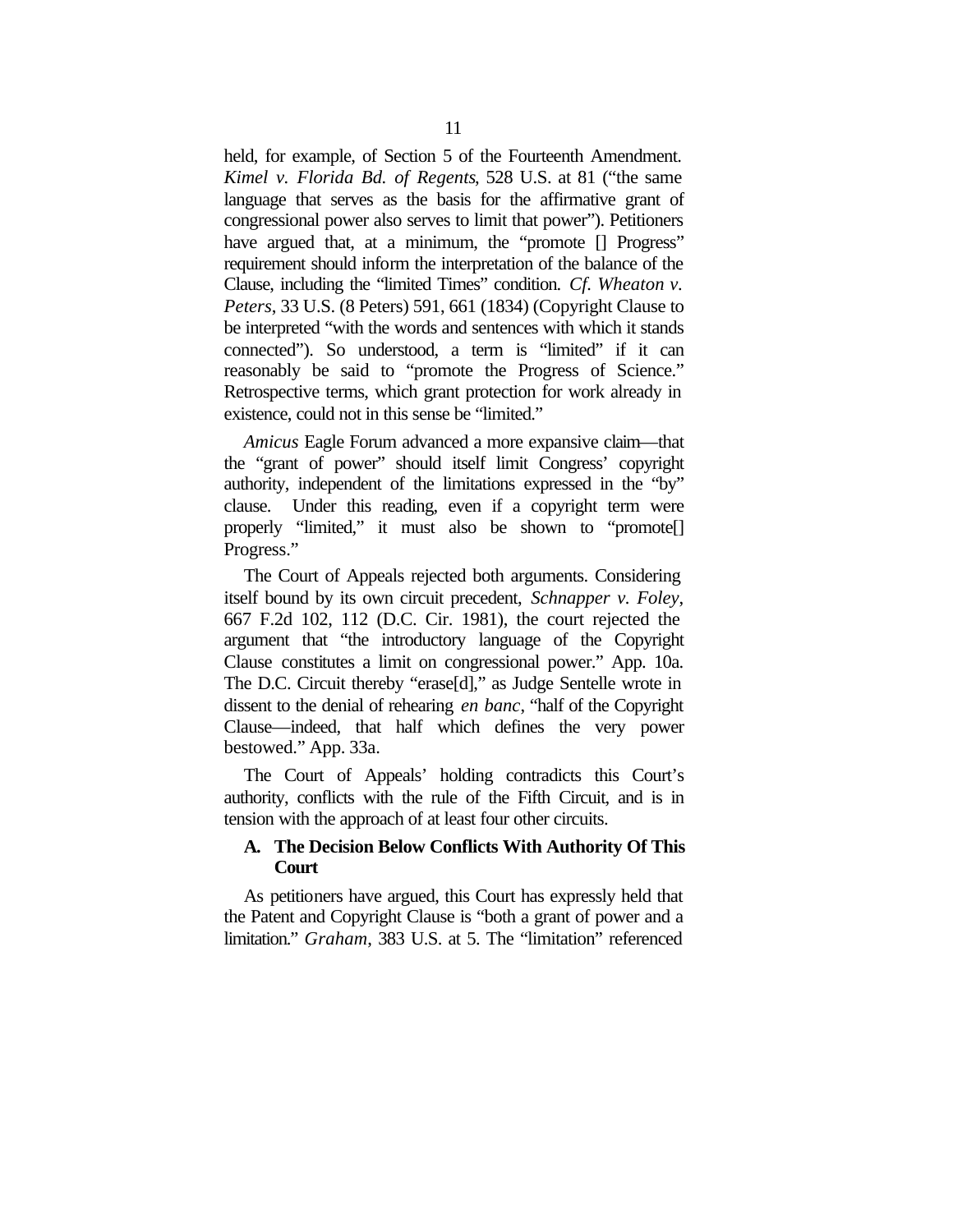held, for example, of Section 5 of the Fourteenth Amendment. *Kimel v. Florida Bd. of Regents*, 528 U.S. at 81 ("the same language that serves as the basis for the affirmative grant of congressional power also serves to limit that power"). Petitioners have argued that, at a minimum, the "promote  $\Box$  Progress" requirement should inform the interpretation of the balance of the Clause, including the "limited Times" condition. *Cf. Wheaton v. Peters*, 33 U.S. (8 Peters) 591, 661 (1834) (Copyright Clause to be interpreted "with the words and sentences with which it stands connected"). So understood, a term is "limited" if it can reasonably be said to "promote the Progress of Science." Retrospective terms, which grant protection for work already in existence, could not in this sense be "limited."

*Amicus* Eagle Forum advanced a more expansive claim—that the "grant of power" should itself limit Congress' copyright authority, independent of the limitations expressed in the "by" clause. Under this reading, even if a copyright term were properly "limited," it must also be shown to "promote[] Progress."

The Court of Appeals rejected both arguments. Considering itself bound by its own circuit precedent, *Schnapper v. Foley*, 667 F.2d 102, 112 (D.C. Cir. 1981), the court rejected the argument that "the introductory language of the Copyright Clause constitutes a limit on congressional power." App. 10a. The D.C. Circuit thereby "erase[d]," as Judge Sentelle wrote in dissent to the denial of rehearing *en banc*, "half of the Copyright Clause—indeed, that half which defines the very power bestowed." App. 33a.

The Court of Appeals' holding contradicts this Court's authority, conflicts with the rule of the Fifth Circuit, and is in tension with the approach of at least four other circuits.

#### **A. The Decision Below Conflicts With Authority Of This Court**

As petitioners have argued, this Court has expressly held that the Patent and Copyright Clause is "both a grant of power and a limitation." *Graham*, 383 U.S. at 5. The "limitation" referenced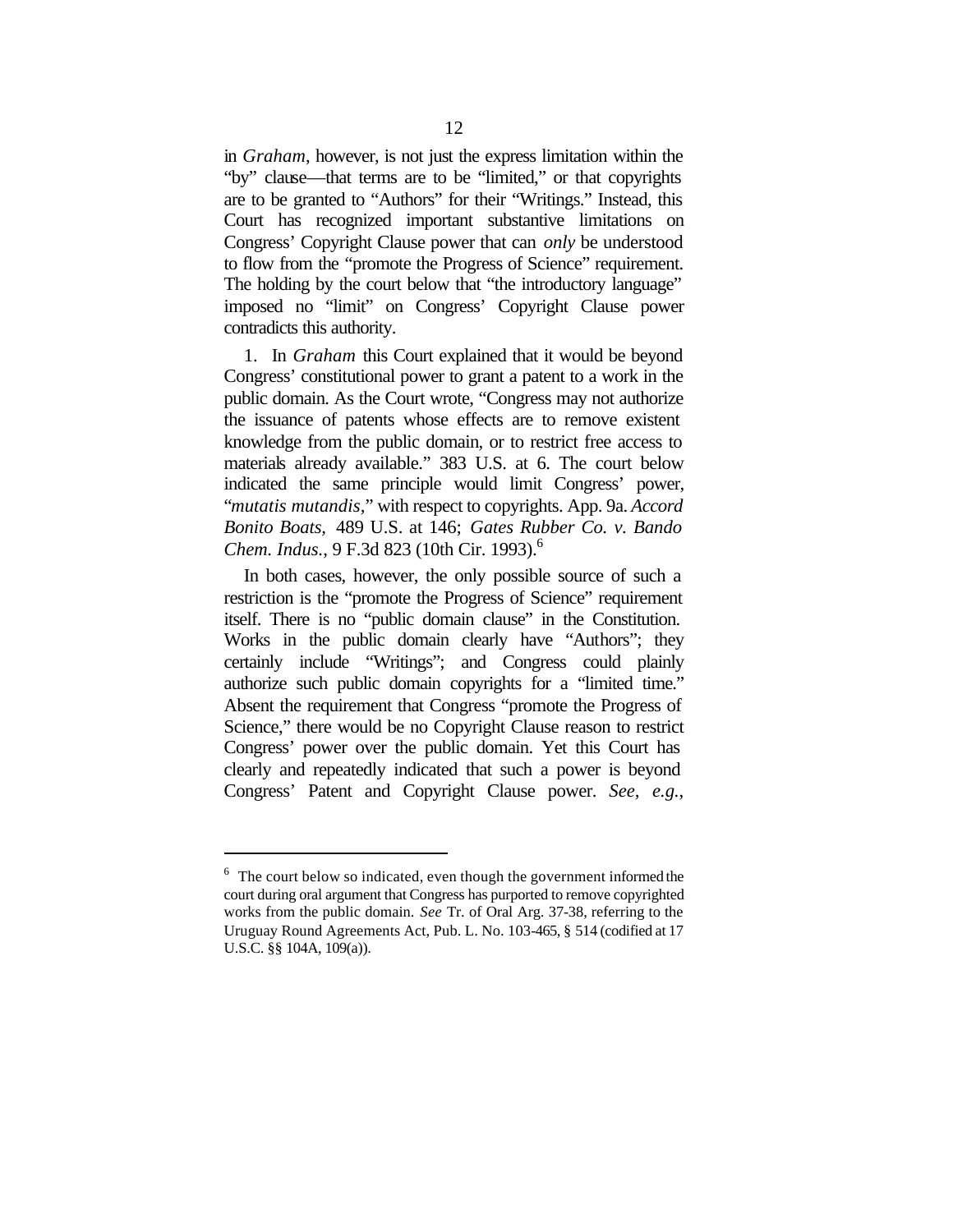in *Graham*, however, is not just the express limitation within the "by" clause—that terms are to be "limited," or that copyrights are to be granted to "Authors" for their "Writings." Instead, this Court has recognized important substantive limitations on Congress' Copyright Clause power that can *only* be understood to flow from the "promote the Progress of Science" requirement. The holding by the court below that "the introductory language" imposed no "limit" on Congress' Copyright Clause power contradicts this authority.

1. In *Graham* this Court explained that it would be beyond Congress' constitutional power to grant a patent to a work in the public domain. As the Court wrote, "Congress may not authorize the issuance of patents whose effects are to remove existent knowledge from the public domain, or to restrict free access to materials already available." 383 U.S. at 6. The court below indicated the same principle would limit Congress' power, "*mutatis mutandis,*" with respect to copyrights. App. 9a. *Accord Bonito Boats,* 489 U.S. at 146; *Gates Rubber Co. v. Bando Chem. Indus.*, 9 F.3d 823 (10th Cir. 1993).<sup>6</sup>

In both cases, however, the only possible source of such a restriction is the "promote the Progress of Science" requirement itself. There is no "public domain clause" in the Constitution. Works in the public domain clearly have "Authors"; they certainly include "Writings"; and Congress could plainly authorize such public domain copyrights for a "limited time." Absent the requirement that Congress "promote the Progress of Science," there would be no Copyright Clause reason to restrict Congress' power over the public domain. Yet this Court has clearly and repeatedly indicated that such a power is beyond Congress' Patent and Copyright Clause power. *See, e.g.*,

 $6$  The court below so indicated, even though the government informed the court during oral argument that Congress has purported to remove copyrighted works from the public domain. *See* Tr. of Oral Arg. 37-38, referring to the Uruguay Round Agreements Act, Pub. L. No. 103-465, § 514 (codified at 17 U.S.C. §§ 104A, 109(a)).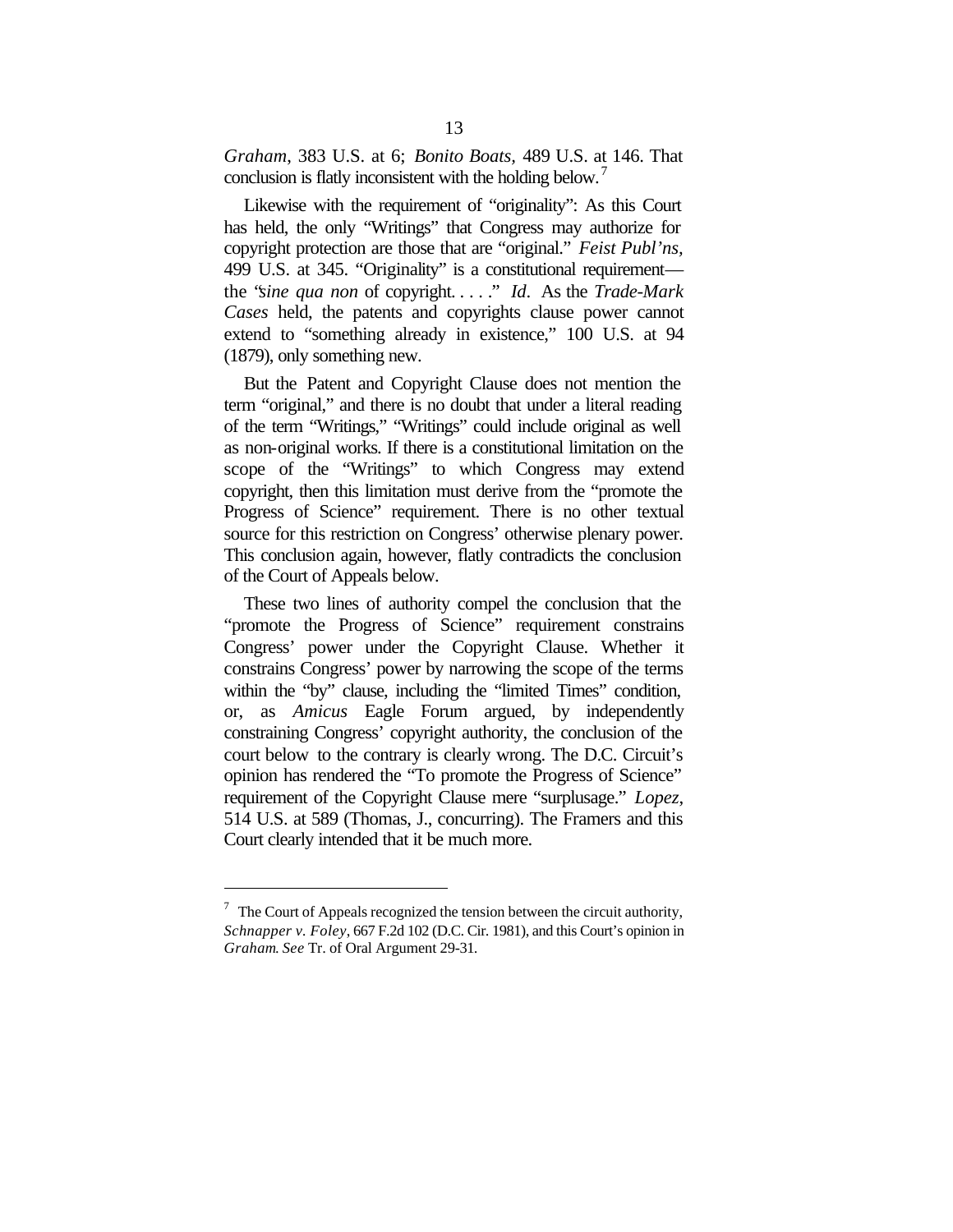*Graham*, 383 U.S. at 6; *Bonito Boats,* 489 U.S. at 146. That conclusion is flatly inconsistent with the holding below.<sup>7</sup>

Likewise with the requirement of "originality": As this Court has held, the only "Writings" that Congress may authorize for copyright protection are those that are "original." *Feist Publ'ns,*  499 U.S. at 345. "Originality" is a constitutional requirement the "*sine qua non* of copyright. . . . ." *Id*. As the *Trade-Mark Cases* held, the patents and copyrights clause power cannot extend to "something already in existence," 100 U.S. at 94 (1879), only something new.

But the Patent and Copyright Clause does not mention the term "original," and there is no doubt that under a literal reading of the term "Writings," "Writings" could include original as well as non-original works. If there is a constitutional limitation on the scope of the "Writings" to which Congress may extend copyright, then this limitation must derive from the "promote the Progress of Science" requirement. There is no other textual source for this restriction on Congress' otherwise plenary power. This conclusion again, however, flatly contradicts the conclusion of the Court of Appeals below.

These two lines of authority compel the conclusion that the "promote the Progress of Science" requirement constrains Congress' power under the Copyright Clause. Whether it constrains Congress' power by narrowing the scope of the terms within the "by" clause, including the "limited Times" condition, or, as *Amicus* Eagle Forum argued, by independently constraining Congress' copyright authority, the conclusion of the court below to the contrary is clearly wrong. The D.C. Circuit's opinion has rendered the "To promote the Progress of Science" requirement of the Copyright Clause mere "surplusage." *Lopez*, 514 U.S. at 589 (Thomas, J., concurring). The Framers and this Court clearly intended that it be much more.

 $7$  The Court of Appeals recognized the tension between the circuit authority, *Schnapper v. Foley*, 667 F.2d 102 (D.C. Cir. 1981), and this Court's opinion in *Graham*. *See* Tr. of Oral Argument 29-31.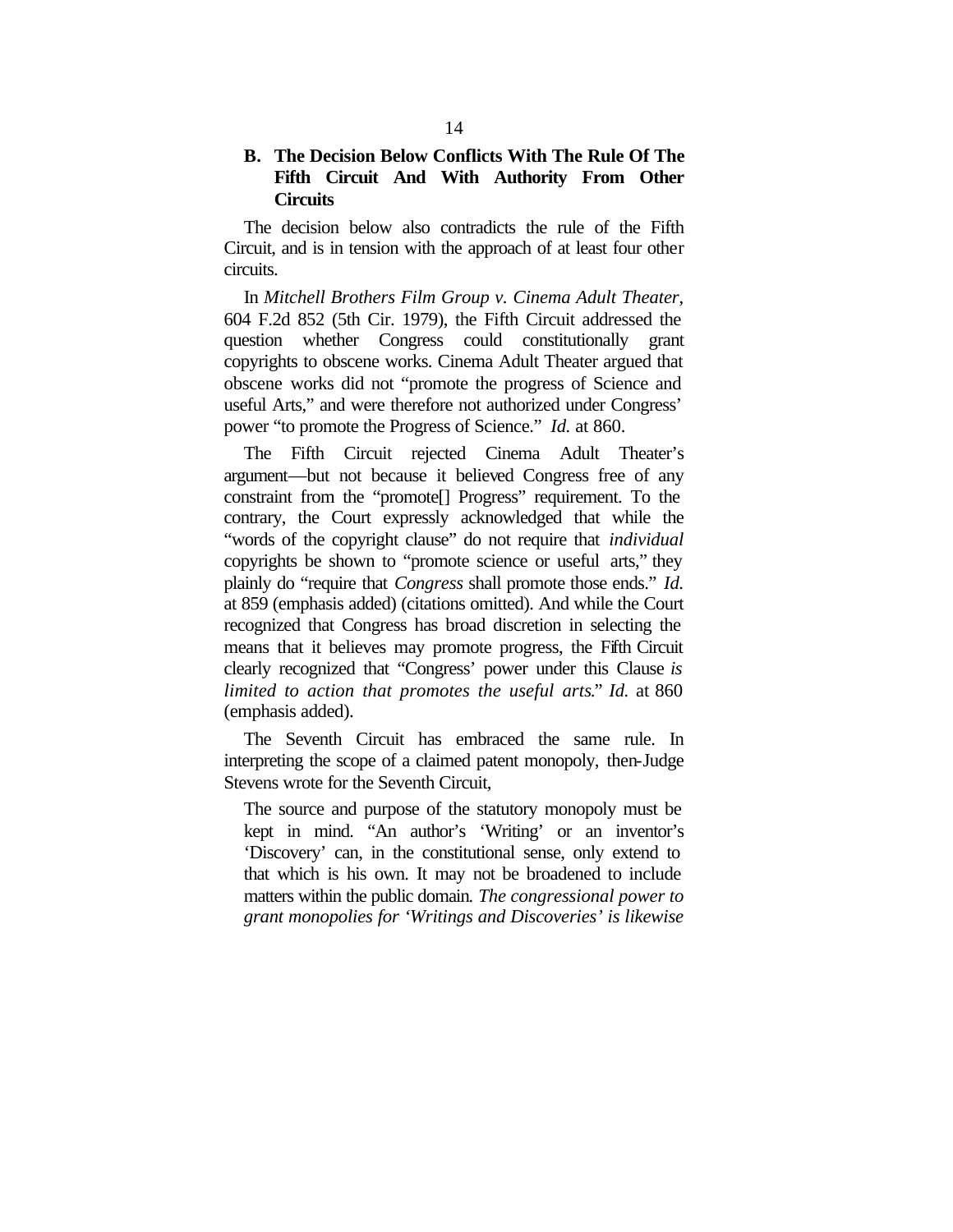### **B. The Decision Below Conflicts With The Rule Of The Fifth Circuit And With Authority From Other Circuits**

The decision below also contradicts the rule of the Fifth Circuit, and is in tension with the approach of at least four other circuits.

In *Mitchell Brothers Film Group v. Cinema Adult Theater*, 604 F.2d 852 (5th Cir. 1979), the Fifth Circuit addressed the question whether Congress could constitutionally grant copyrights to obscene works. Cinema Adult Theater argued that obscene works did not "promote the progress of Science and useful Arts," and were therefore not authorized under Congress' power "to promote the Progress of Science." *Id.* at 860.

The Fifth Circuit rejected Cinema Adult Theater's argument—but not because it believed Congress free of any constraint from the "promote[] Progress" requirement. To the contrary, the Court expressly acknowledged that while the "words of the copyright clause" do not require that *individual* copyrights be shown to "promote science or useful arts," they plainly do "require that *Congress* shall promote those ends." *Id.* at 859 (emphasis added) (citations omitted). And while the Court recognized that Congress has broad discretion in selecting the means that it believes may promote progress, the Fifth Circuit clearly recognized that "Congress' power under this Clause *is limited to action that promotes the useful arts*." *Id.* at 860 (emphasis added).

The Seventh Circuit has embraced the same rule. In interpreting the scope of a claimed patent monopoly, then-Judge Stevens wrote for the Seventh Circuit,

The source and purpose of the statutory monopoly must be kept in mind. "An author's 'Writing' or an inventor's 'Discovery' can, in the constitutional sense, only extend to that which is his own. It may not be broadened to include matters within the public domain*. The congressional power to grant monopolies for 'Writings and Discoveries' is likewise*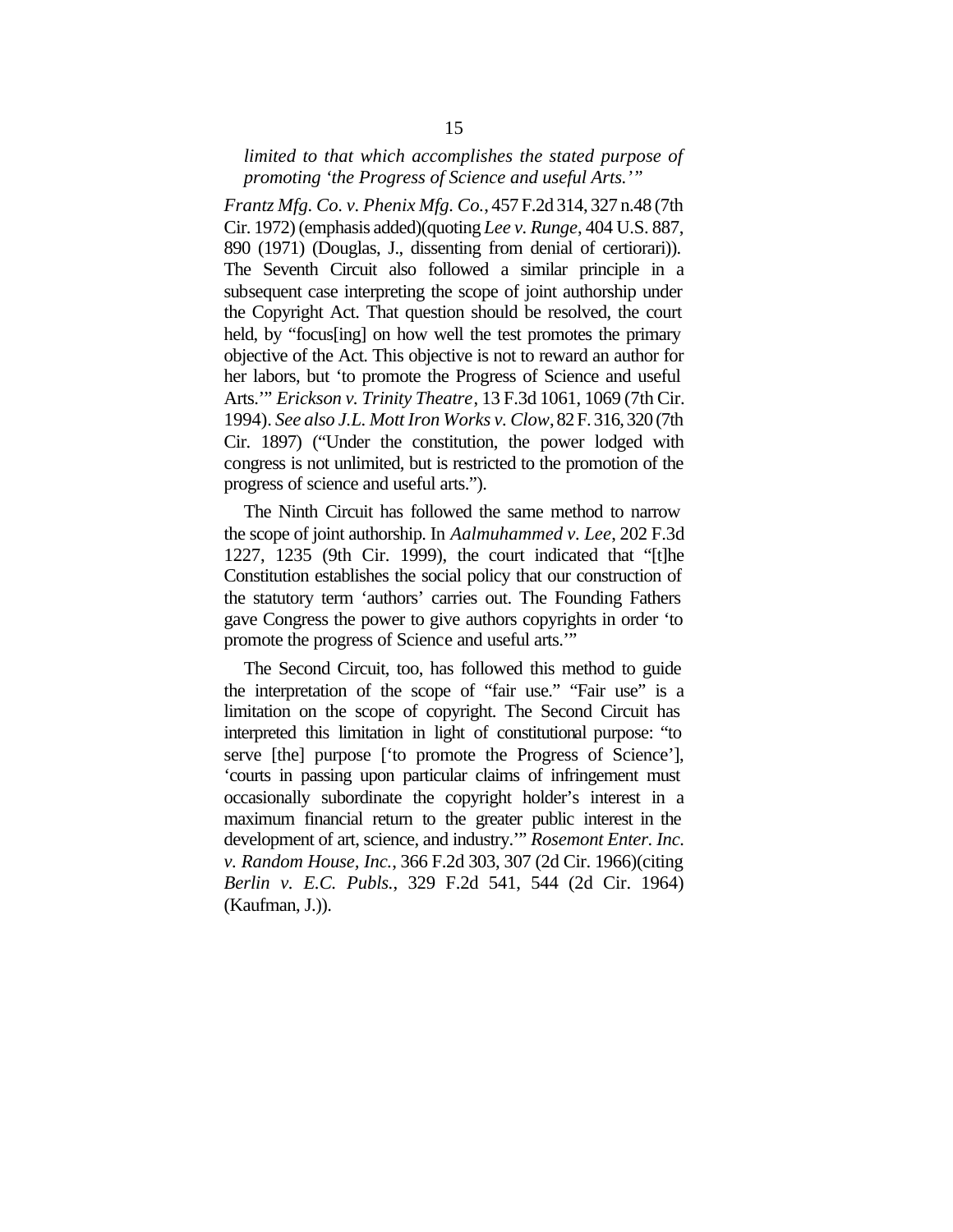#### *limited to that which accomplishes the stated purpose of promoting 'the Progress of Science and useful Arts.'"*

*Frantz Mfg. Co. v. Phenix Mfg. Co.*, 457 F.2d 314, 327 n.48 (7th Cir. 1972) (emphasis added)(quoting *Lee v. Runge*, 404 U.S. 887, 890 (1971) (Douglas, J., dissenting from denial of certiorari)). The Seventh Circuit also followed a similar principle in a subsequent case interpreting the scope of joint authorship under the Copyright Act. That question should be resolved, the court held, by "focus<sup>[ing]</sup> on how well the test promotes the primary objective of the Act. This objective is not to reward an author for her labors, but 'to promote the Progress of Science and useful Arts.'" *Erickson v. Trinity Theatre*, 13 F.3d 1061, 1069 (7th Cir. 1994). *See also J.L. Mott Iron Works v. Clow*, 82 F. 316, 320 (7th Cir. 1897) ("Under the constitution, the power lodged with congress is not unlimited, but is restricted to the promotion of the progress of science and useful arts.").

The Ninth Circuit has followed the same method to narrow the scope of joint authorship. In *Aalmuhammed v. Lee*, 202 F.3d 1227, 1235 (9th Cir. 1999), the court indicated that "[t]he Constitution establishes the social policy that our construction of the statutory term 'authors' carries out. The Founding Fathers gave Congress the power to give authors copyrights in order 'to promote the progress of Science and useful arts.'"

The Second Circuit, too, has followed this method to guide the interpretation of the scope of "fair use." "Fair use" is a limitation on the scope of copyright. The Second Circuit has interpreted this limitation in light of constitutional purpose: "to serve [the] purpose ['to promote the Progress of Science'], 'courts in passing upon particular claims of infringement must occasionally subordinate the copyright holder's interest in a maximum financial return to the greater public interest in the development of art, science, and industry.'" *Rosemont Enter. Inc. v. Random House, Inc.*, 366 F.2d 303, 307 (2d Cir. 1966)(citing *Berlin v. E.C. Publs.*, 329 F.2d 541, 544 (2d Cir. 1964) (Kaufman, J.)).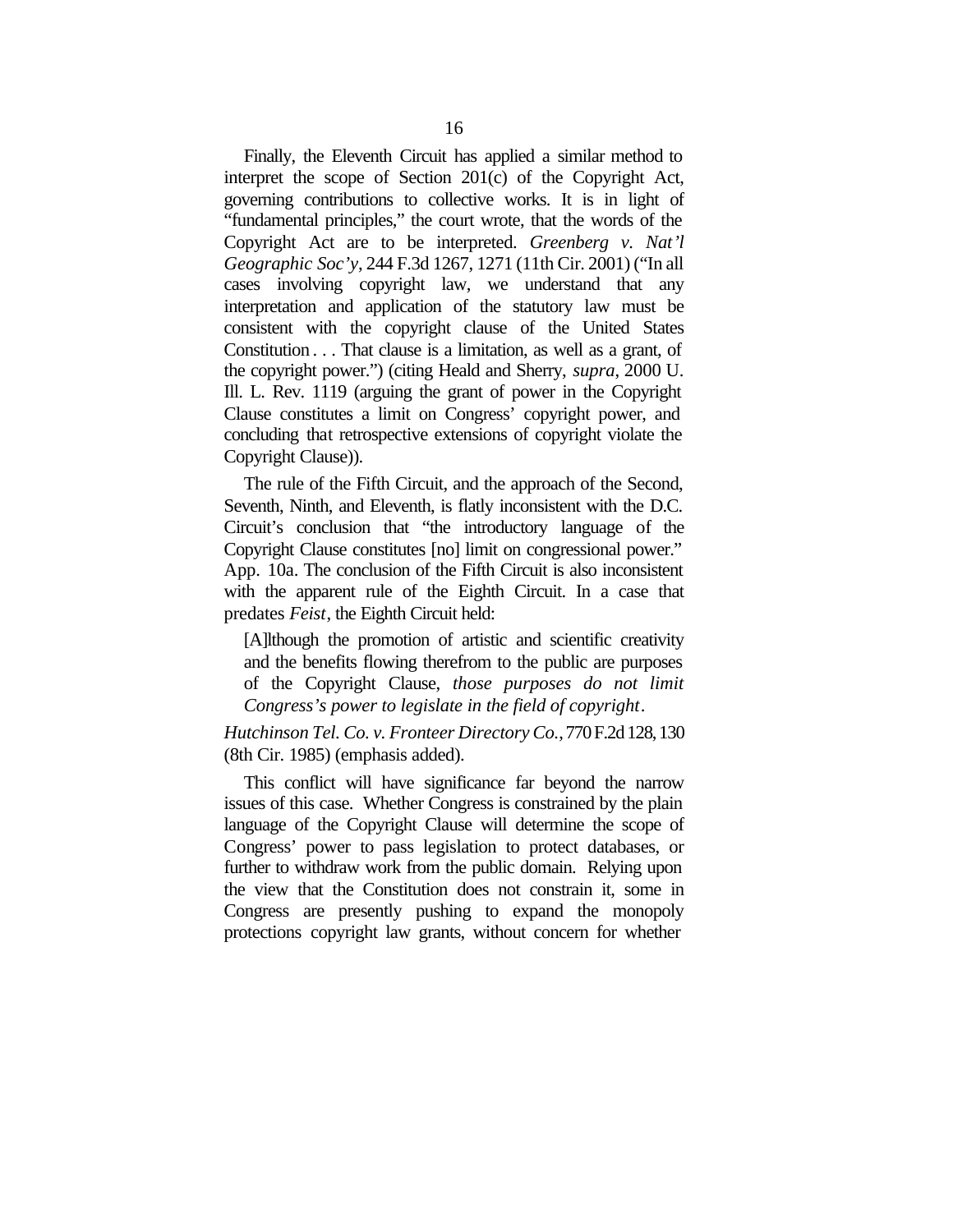Finally, the Eleventh Circuit has applied a similar method to interpret the scope of Section 201(c) of the Copyright Act, governing contributions to collective works. It is in light of "fundamental principles," the court wrote, that the words of the Copyright Act are to be interpreted. *Greenberg v. Nat'l Geographic Soc'y*, 244 F.3d 1267, 1271 (11th Cir. 2001) ("In all cases involving copyright law, we understand that any interpretation and application of the statutory law must be consistent with the copyright clause of the United States Constitution . . . That clause is a limitation, as well as a grant, of the copyright power.") (citing Heald and Sherry, *supra*, 2000 U. Ill. L. Rev. 1119 (arguing the grant of power in the Copyright Clause constitutes a limit on Congress' copyright power, and concluding that retrospective extensions of copyright violate the Copyright Clause)).

The rule of the Fifth Circuit, and the approach of the Second, Seventh, Ninth, and Eleventh, is flatly inconsistent with the D.C. Circuit's conclusion that "the introductory language of the Copyright Clause constitutes [no] limit on congressional power." App. 10a. The conclusion of the Fifth Circuit is also inconsistent with the apparent rule of the Eighth Circuit. In a case that predates *Feist*, the Eighth Circuit held:

[A]lthough the promotion of artistic and scientific creativity and the benefits flowing therefrom to the public are purposes of the Copyright Clause, *those purposes do not limit Congress's power to legislate in the field of copyright*.

*Hutchinson Tel. Co. v. Fronteer Directory Co.*, 770 F.2d 128, 130 (8th Cir. 1985) (emphasis added).

This conflict will have significance far beyond the narrow issues of this case. Whether Congress is constrained by the plain language of the Copyright Clause will determine the scope of Congress' power to pass legislation to protect databases, or further to withdraw work from the public domain. Relying upon the view that the Constitution does not constrain it, some in Congress are presently pushing to expand the monopoly protections copyright law grants, without concern for whether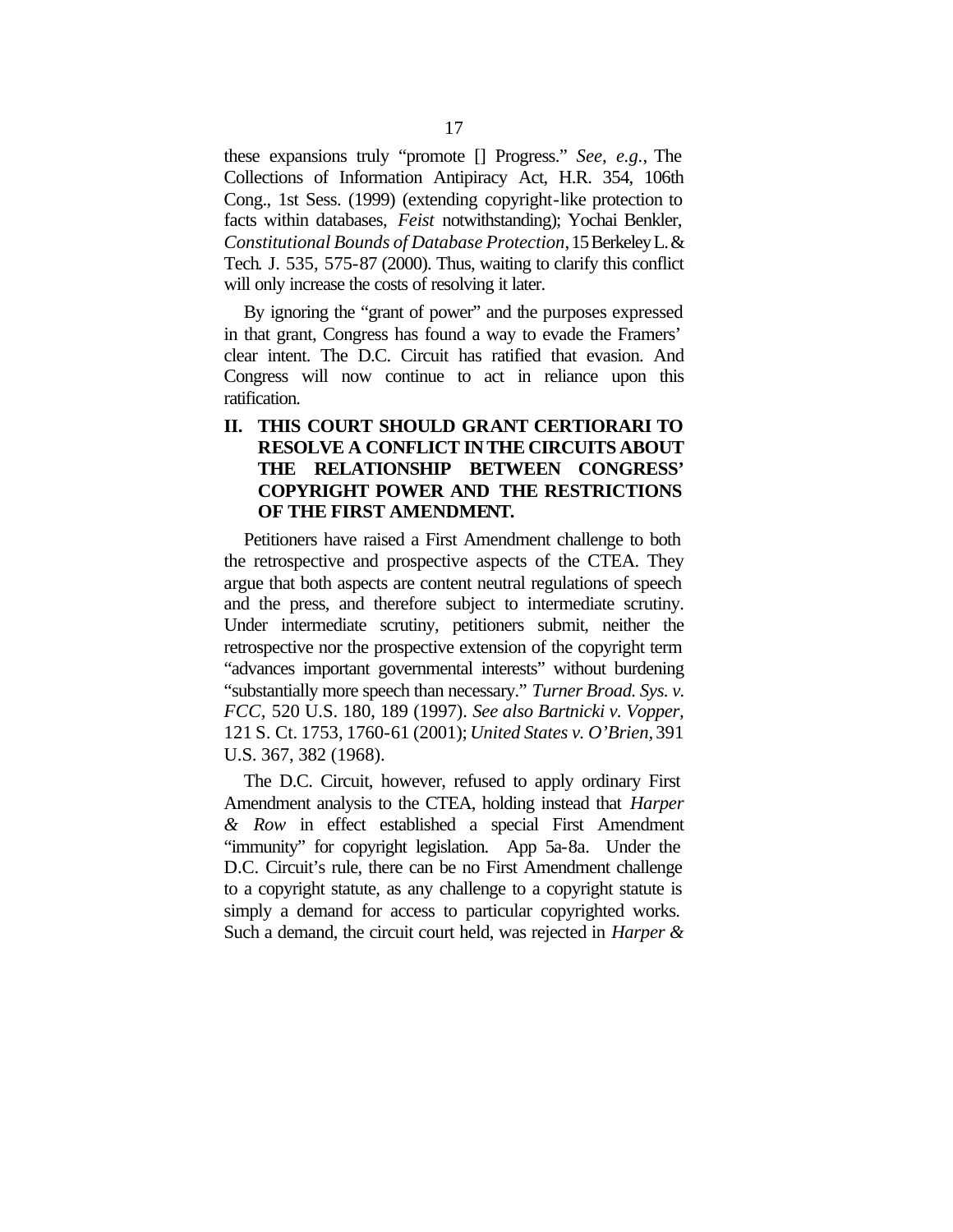these expansions truly "promote [] Progress." *See, e.g.*, The Collections of Information Antipiracy Act, H.R. 354, 106th Cong., 1st Sess. (1999) (extending copyright-like protection to facts within databases, *Feist* notwithstanding); Yochai Benkler, *Constitutional Bounds of Database Protection*, 15 Berkeley L. & Tech. J. 535, 575-87 (2000). Thus, waiting to clarify this conflict will only increase the costs of resolving it later.

By ignoring the "grant of power" and the purposes expressed in that grant, Congress has found a way to evade the Framers' clear intent. The D.C. Circuit has ratified that evasion. And Congress will now continue to act in reliance upon this ratification.

### **II. THIS COURT SHOULD GRANT CERTIORARI TO RESOLVE A CONFLICT IN THE CIRCUITS ABOUT THE RELATIONSHIP BETWEEN CONGRESS' COPYRIGHT POWER AND THE RESTRICTIONS OF THE FIRST AMENDMENT.**

Petitioners have raised a First Amendment challenge to both the retrospective and prospective aspects of the CTEA. They argue that both aspects are content neutral regulations of speech and the press, and therefore subject to intermediate scrutiny. Under intermediate scrutiny, petitioners submit, neither the retrospective nor the prospective extension of the copyright term "advances important governmental interests" without burdening "substantially more speech than necessary." *Turner Broad. Sys. v. FCC,* 520 U.S. 180, 189 (1997). *See also Bartnicki v. Vopper,*  121 S. Ct. 1753, 1760-61 (2001); *United States v. O'Brien,* 391 U.S. 367, 382 (1968).

The D.C. Circuit, however, refused to apply ordinary First Amendment analysis to the CTEA, holding instead that *Harper & Row* in effect established a special First Amendment "immunity" for copyright legislation. App 5a-8a. Under the D.C. Circuit's rule, there can be no First Amendment challenge to a copyright statute, as any challenge to a copyright statute is simply a demand for access to particular copyrighted works. Such a demand, the circuit court held, was rejected in *Harper &*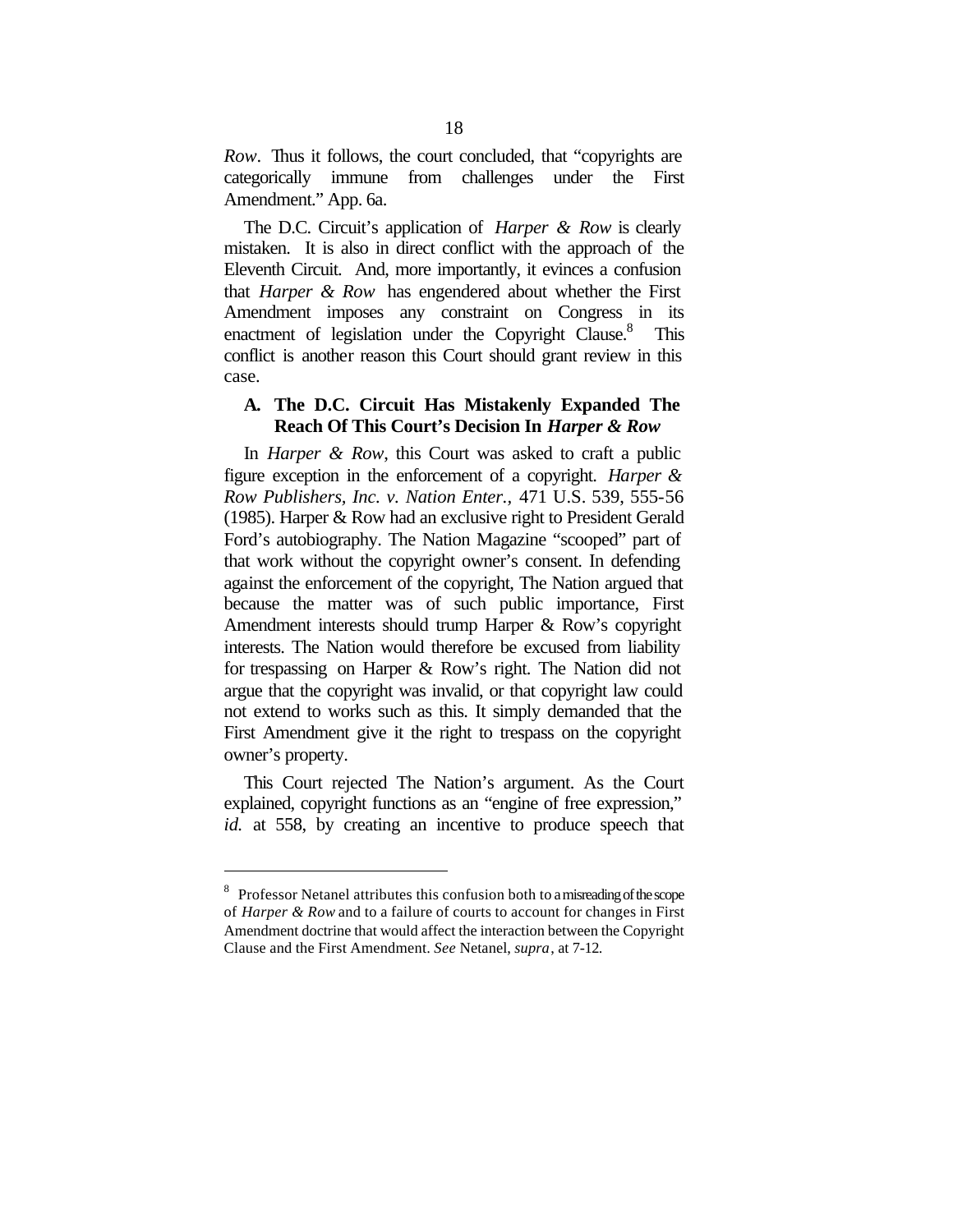*Row*. Thus it follows, the court concluded, that "copyrights are categorically immune from challenges under the First Amendment." App. 6a.

The D.C. Circuit's application of *Harper & Row* is clearly mistaken. It is also in direct conflict with the approach of the Eleventh Circuit. And, more importantly, it evinces a confusion that *Harper & Row* has engendered about whether the First Amendment imposes any constraint on Congress in its enactment of legislation under the Copyright Clause.<sup>8</sup> This conflict is another reason this Court should grant review in this case.

### **A. The D.C. Circuit Has Mistakenly Expanded The Reach Of This Court's Decision In** *Harper & Row*

In *Harper & Row*, this Court was asked to craft a public figure exception in the enforcement of a copyright. *Harper & Row Publishers, Inc. v. Nation Enter.,* 471 U.S. 539, 555-56 (1985). Harper & Row had an exclusive right to President Gerald Ford's autobiography. The Nation Magazine "scooped" part of that work without the copyright owner's consent. In defending against the enforcement of the copyright, The Nation argued that because the matter was of such public importance, First Amendment interests should trump Harper & Row's copyright interests. The Nation would therefore be excused from liability for trespassing on Harper & Row's right. The Nation did not argue that the copyright was invalid, or that copyright law could not extend to works such as this. It simply demanded that the First Amendment give it the right to trespass on the copyright owner's property.

This Court rejected The Nation's argument. As the Court explained, copyright functions as an "engine of free expression," *id.* at 558, by creating an incentive to produce speech that

<sup>&</sup>lt;sup>8</sup> Professor Netanel attributes this confusion both to a misreading of the scope of *Harper & Row* and to a failure of courts to account for changes in First Amendment doctrine that would affect the interaction between the Copyright Clause and the First Amendment. *See* Netanel, *supra*, at 7-12.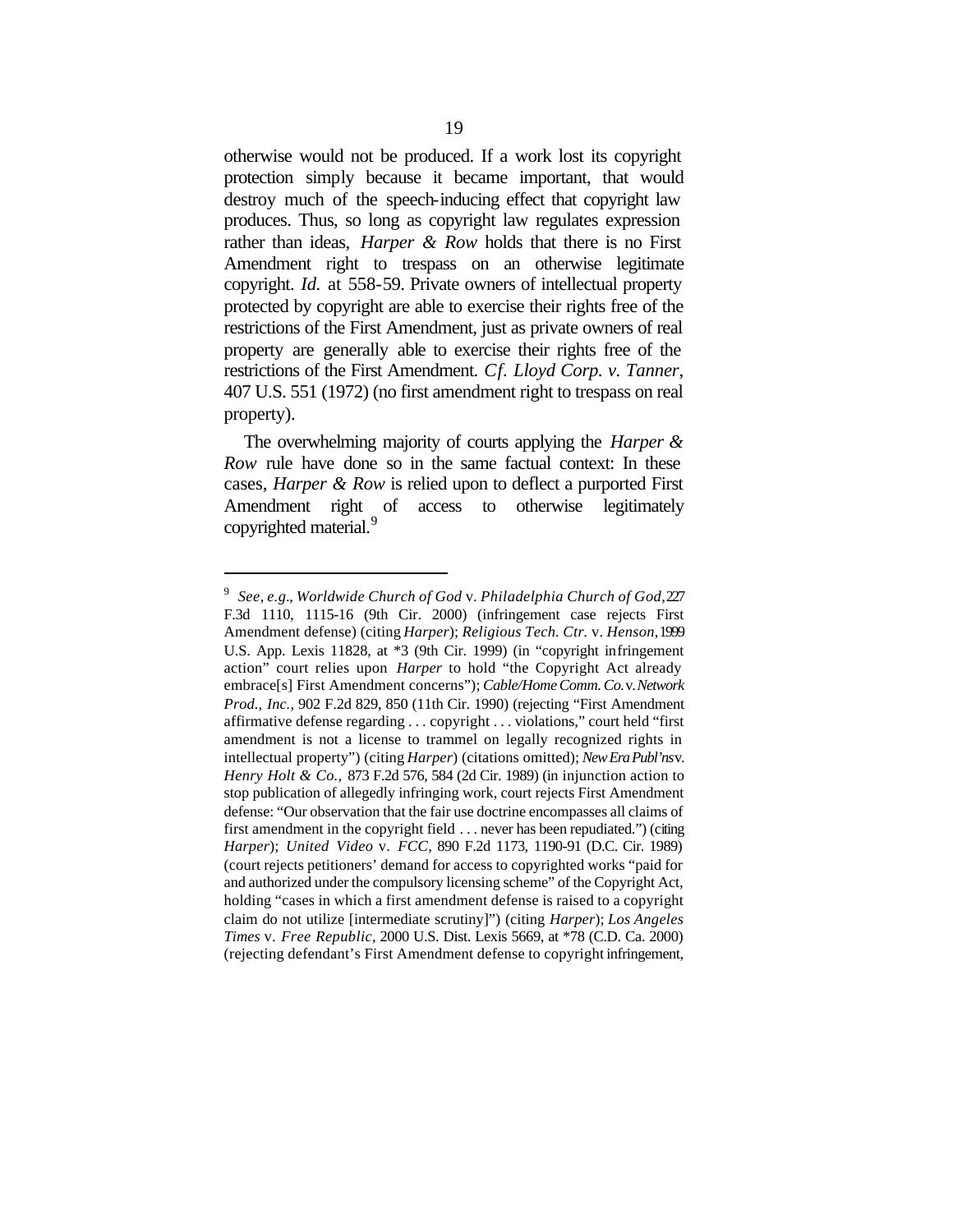otherwise would not be produced. If a work lost its copyright protection simply because it became important, that would destroy much of the speech-inducing effect that copyright law produces. Thus, so long as copyright law regulates expression rather than ideas, *Harper & Row* holds that there is no First Amendment right to trespass on an otherwise legitimate copyright. *Id.* at 558-59. Private owners of intellectual property protected by copyright are able to exercise their rights free of the restrictions of the First Amendment, just as private owners of real property are generally able to exercise their rights free of the restrictions of the First Amendment. *Cf. Lloyd Corp. v. Tanner*, 407 U.S. 551 (1972) (no first amendment right to trespass on real property).

The overwhelming majority of courts applying the *Harper & Row* rule have done so in the same factual context: In these cases, *Harper & Row* is relied upon to deflect a purported First Amendment right of access to otherwise legitimately copyrighted material.<sup>9</sup>

<sup>9</sup> *See*, *e.g.*, *Worldwide Church of God* v. *Philadelphia Church of God*, 227 F.3d 1110, 1115-16 (9th Cir. 2000) (infringement case rejects First Amendment defense) (citing *Harper*); *Religious Tech. Ctr.* v. *Henson*, 1999 U.S. App. Lexis 11828, at \*3 (9th Cir. 1999) (in "copyright infringement action" court relies upon *Harper* to hold "the Copyright Act already embrace[s] First Amendment concerns"); *Cable/Home Comm. Co.* v. *Network Prod., Inc.*, 902 F.2d 829, 850 (11th Cir. 1990) (rejecting "First Amendment" affirmative defense regarding . . . copyright . . . violations," court held "first amendment is not a license to trammel on legally recognized rights in intellectual property") (citing *Harper*) (citations omitted); *New Era Publ'ns* v. *Henry Holt & Co.,* 873 F.2d 576, 584 (2d Cir. 1989) (in injunction action to stop publication of allegedly infringing work, court rejects First Amendment defense: "Our observation that the fair use doctrine encompasses all claims of first amendment in the copyright field . . . never has been repudiated.") (citing *Harper*); *United Video* v. *FCC*, 890 F.2d 1173, 1190-91 (D.C. Cir. 1989) (court rejects petitioners' demand for access to copyrighted works "paid for and authorized under the compulsory licensing scheme" of the Copyright Act, holding "cases in which a first amendment defense is raised to a copyright claim do not utilize [intermediate scrutiny]") (citing *Harper*); *Los Angeles Times* v. *Free Republic*, 2000 U.S. Dist. Lexis 5669, at \*78 (C.D. Ca. 2000) (rejecting defendant's First Amendment defense to copyright infringement,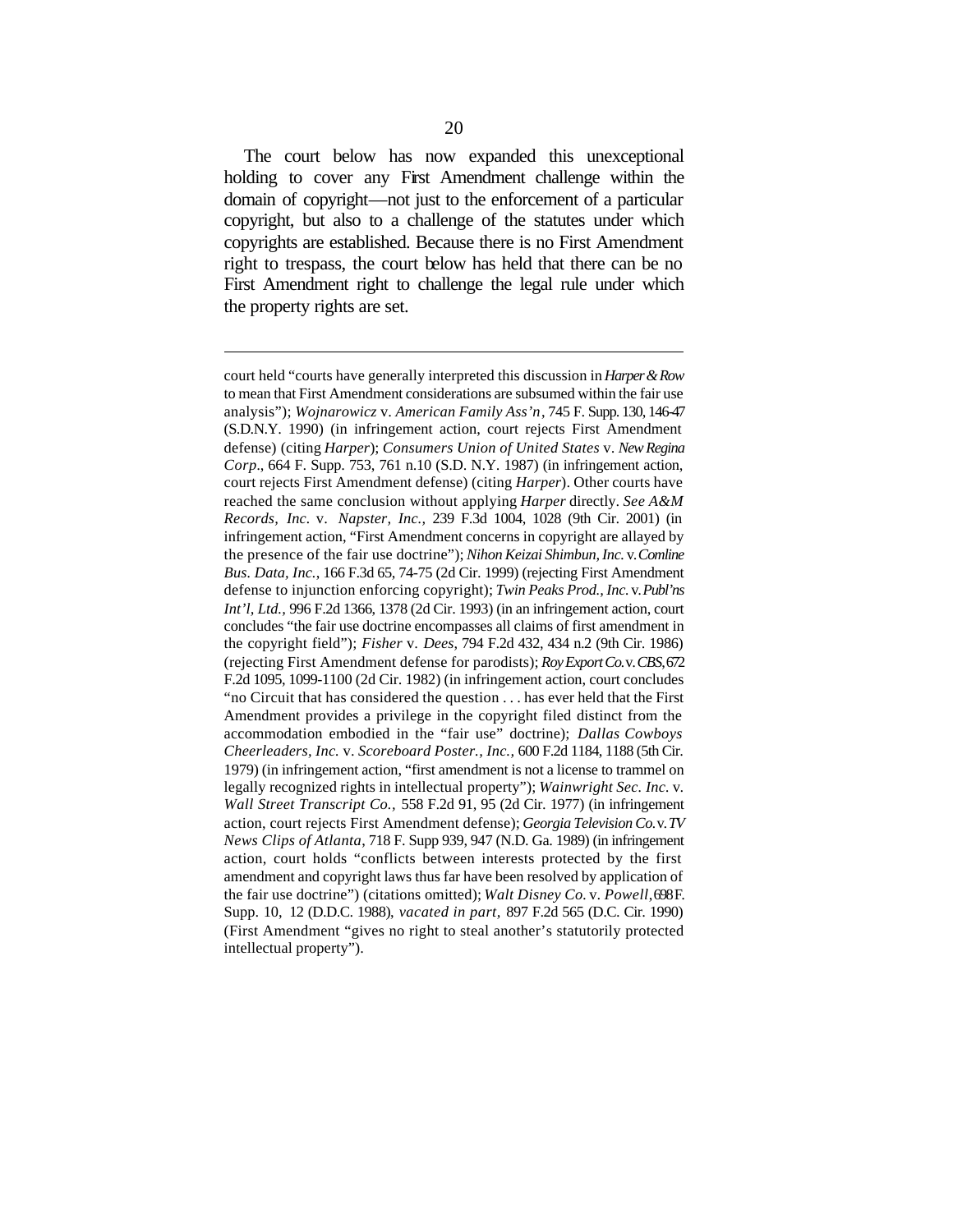The court below has now expanded this unexceptional holding to cover any First Amendment challenge within the domain of copyright—not just to the enforcement of a particular copyright, but also to a challenge of the statutes under which copyrights are established. Because there is no First Amendment right to trespass, the court below has held that there can be no First Amendment right to challenge the legal rule under which the property rights are set.

court held "courts have generally interpreted this discussion in *Harper & Row* to mean that First Amendment considerations are subsumed within the fair use analysis"); *Wojnarowicz* v. *American Family Ass'n*, 745 F. Supp. 130, 146-47 (S.D.N.Y. 1990) (in infringement action, court rejects First Amendment defense) (citing *Harper*); *Consumers Union of United States* v. *New Regina Corp.*, 664 F. Supp. 753, 761 n.10 (S.D. N.Y. 1987) (in infringement action, court rejects First Amendment defense) (citing *Harper*). Other courts have reached the same conclusion without applying *Harper* directly. *See A&M Records, Inc.* v. *Napster, Inc.,* 239 F.3d 1004, 1028 (9th Cir. 2001) (in infringement action, "First Amendment concerns in copyright are allayed by the presence of the fair use doctrine"); *Nihon Keizai Shimbun, Inc.* v. *Comline Bus. Data, Inc.*, 166 F.3d 65, 74-75 (2d Cir. 1999) (rejecting First Amendment defense to injunction enforcing copyright); *Twin Peaks Prod., Inc.* v. *Publ'ns Int'l, Ltd.,* 996 F.2d 1366, 1378 (2d Cir. 1993) (in an infringement action, court concludes "the fair use doctrine encompasses all claims of first amendment in the copyright field"); *Fisher* v. *Dees*, 794 F.2d 432, 434 n.2 (9th Cir. 1986) (rejecting First Amendment defense for parodists); *Roy Export Co.* v. *CBS*, 672 F.2d 1095, 1099-1100 (2d Cir. 1982) (in infringement action, court concludes "no Circuit that has considered the question . . . has ever held that the First Amendment provides a privilege in the copyright filed distinct from the accommodation embodied in the "fair use" doctrine); *Dallas Cowboys Cheerleaders, Inc.* v. *Scoreboard Poster., Inc.,* 600 F.2d 1184, 1188 (5th Cir. 1979) (in infringement action, "first amendment is not a license to trammel on legally recognized rights in intellectual property"); *Wainwright Sec. Inc.* v. *Wall Street Transcript Co.,* 558 F.2d 91, 95 (2d Cir. 1977) (in infringement action, court rejects First Amendment defense); *Georgia Television Co.* v. *TV News Clips of Atlanta*, 718 F. Supp 939, 947 (N.D. Ga. 1989) (in infringement action, court holds "conflicts between interests protected by the first amendment and copyright laws thus far have been resolved by application of the fair use doctrine") (citations omitted); *Walt Disney Co.* v. *Powell*, 698 F. Supp. 10, 12 (D.D.C. 1988), *vacated in part,* 897 F.2d 565 (D.C. Cir. 1990) (First Amendment "gives no right to steal another's statutorily protected intellectual property").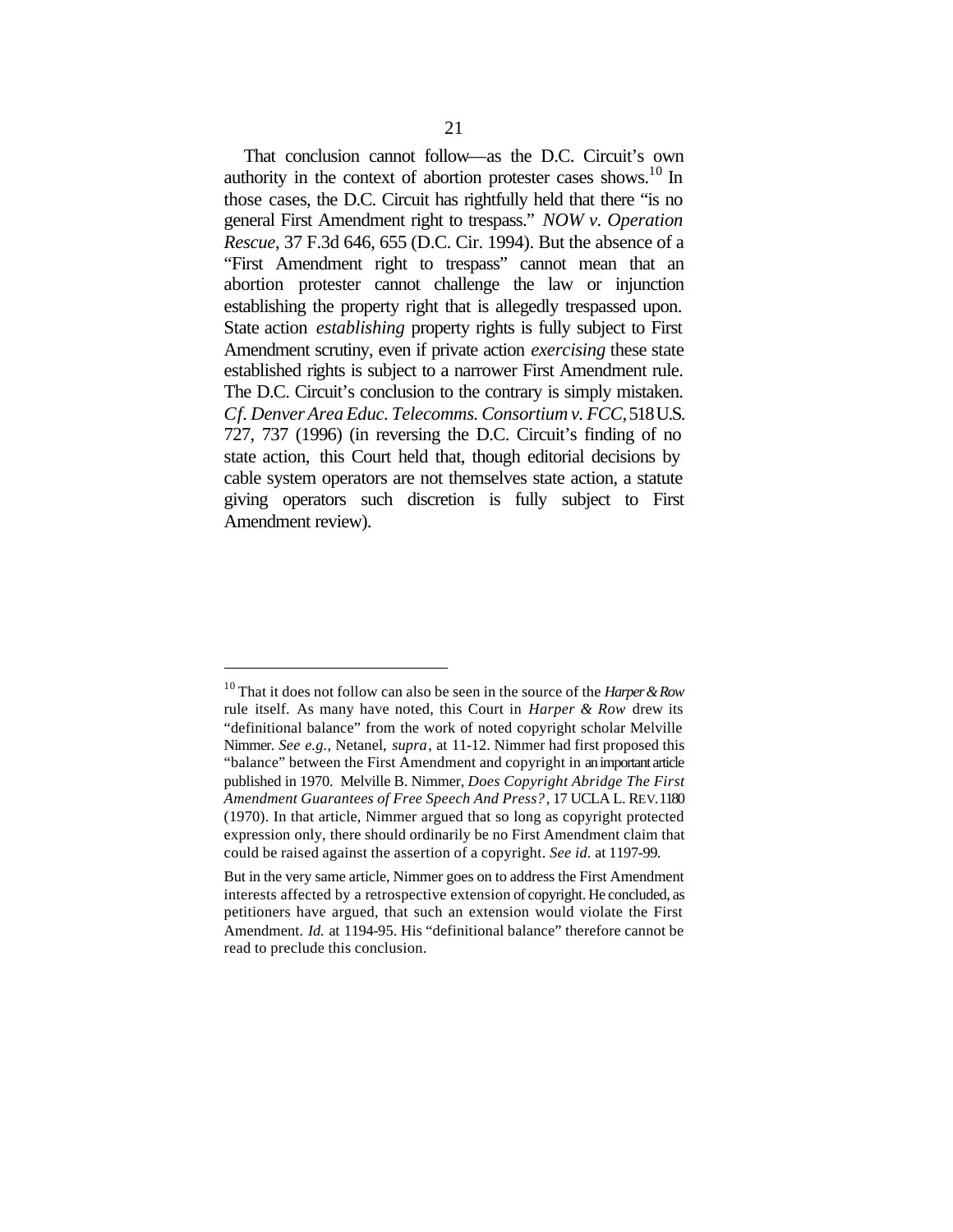That conclusion cannot follow—as the D.C. Circuit's own authority in the context of abortion protester cases shows.<sup>10</sup> In those cases, the D.C. Circuit has rightfully held that there "is no general First Amendment right to trespass." *NOW v. Operation Rescue*, 37 F.3d 646, 655 (D.C. Cir. 1994). But the absence of a "First Amendment right to trespass" cannot mean that an abortion protester cannot challenge the law or injunction establishing the property right that is allegedly trespassed upon. State action *establishing* property rights is fully subject to First Amendment scrutiny, even if private action *exercising* these state established rights is subject to a narrower First Amendment rule. The D.C. Circuit's conclusion to the contrary is simply mistaken. *Cf. Denver Area Educ. Telecomms. Consortium v. FCC,* 518 U.S. 727, 737 (1996) (in reversing the D.C. Circuit's finding of no state action, this Court held that, though editorial decisions by cable system operators are not themselves state action, a statute giving operators such discretion is fully subject to First Amendment review).

<sup>10</sup> That it does not follow can also be seen in the source of the *Harper & Row* rule itself. As many have noted, this Court in *Harper & Row* drew its "definitional balance" from the work of noted copyright scholar Melville Nimmer. *See e.g.,* Netanel, *supra*, at 11-12. Nimmer had first proposed this "balance" between the First Amendment and copyright in an important article published in 1970. Melville B. Nimmer, *Does Copyright Abridge The First Amendment Guarantees of Free Speech And Press?*, 17 UCLA L. REV. 1180 (1970). In that article, Nimmer argued that so long as copyright protected expression only, there should ordinarily be no First Amendment claim that could be raised against the assertion of a copyright. *See id.* at 1197-99.

But in the very same article, Nimmer goes on to address the First Amendment interests affected by a retrospective extension of copyright. He concluded, as petitioners have argued, that such an extension would violate the First Amendment. *Id.* at 1194-95. His "definitional balance" therefore cannot be read to preclude this conclusion.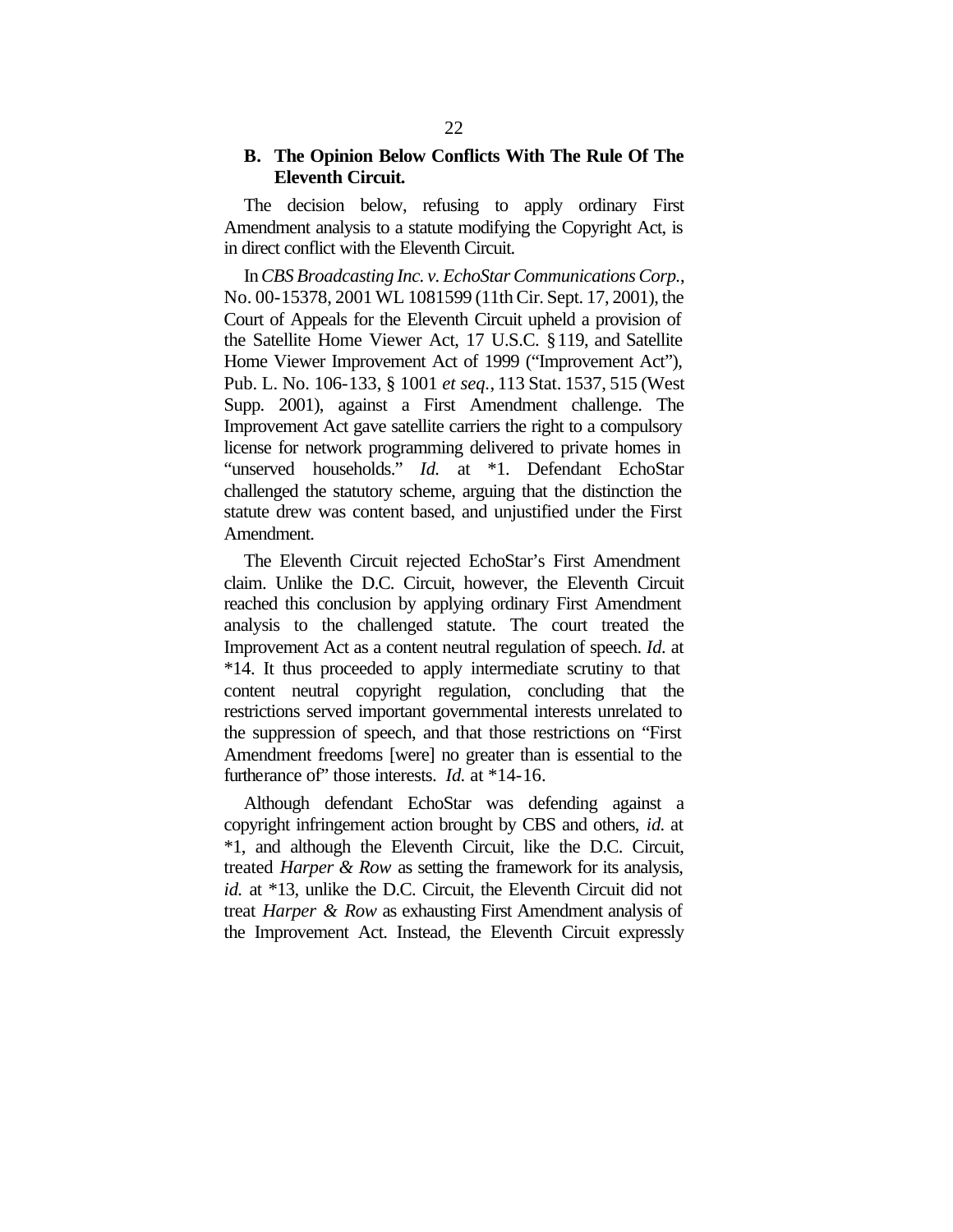#### **B. The Opinion Below Conflicts With The Rule Of The Eleventh Circuit.**

The decision below, refusing to apply ordinary First Amendment analysis to a statute modifying the Copyright Act, is in direct conflict with the Eleventh Circuit.

In *CBS Broadcasting Inc. v. EchoStar Communications Corp.*, No. 00-15378, 2001 WL 1081599 (11th Cir. Sept. 17, 2001), the Court of Appeals for the Eleventh Circuit upheld a provision of the Satellite Home Viewer Act, 17 U.S.C. §119, and Satellite Home Viewer Improvement Act of 1999 ("Improvement Act"), Pub. L. No. 106-133, § 1001 *et seq.*, 113 Stat. 1537, 515 (West Supp. 2001), against a First Amendment challenge. The Improvement Act gave satellite carriers the right to a compulsory license for network programming delivered to private homes in "unserved households." *Id.* at \*1. Defendant EchoStar challenged the statutory scheme, arguing that the distinction the statute drew was content based, and unjustified under the First Amendment.

The Eleventh Circuit rejected EchoStar's First Amendment claim. Unlike the D.C. Circuit, however, the Eleventh Circuit reached this conclusion by applying ordinary First Amendment analysis to the challenged statute. The court treated the Improvement Act as a content neutral regulation of speech. *Id.* at \*14. It thus proceeded to apply intermediate scrutiny to that content neutral copyright regulation, concluding that the restrictions served important governmental interests unrelated to the suppression of speech, and that those restrictions on "First Amendment freedoms [were] no greater than is essential to the furtherance of" those interests. *Id.* at \*14-16.

Although defendant EchoStar was defending against a copyright infringement action brought by CBS and others, *id.* at \*1, and although the Eleventh Circuit, like the D.C. Circuit, treated *Harper & Row* as setting the framework for its analysis, *id.* at \*13, unlike the D.C. Circuit, the Eleventh Circuit did not treat *Harper & Row* as exhausting First Amendment analysis of the Improvement Act. Instead, the Eleventh Circuit expressly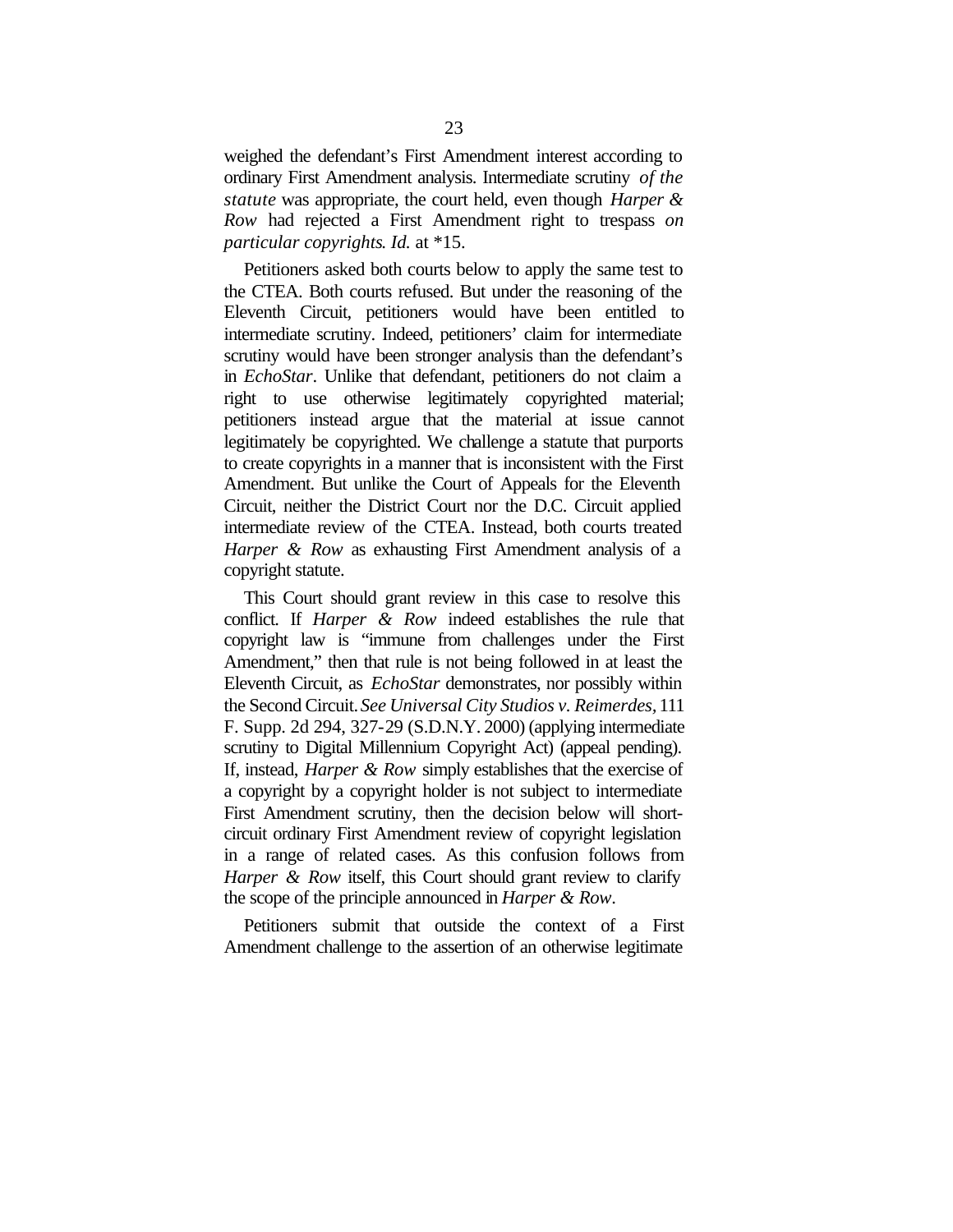weighed the defendant's First Amendment interest according to ordinary First Amendment analysis. Intermediate scrutiny *of the statute* was appropriate, the court held, even though *Harper & Row* had rejected a First Amendment right to trespass *on particular copyrights*. *Id.* at \*15.

Petitioners asked both courts below to apply the same test to the CTEA. Both courts refused. But under the reasoning of the Eleventh Circuit, petitioners would have been entitled to intermediate scrutiny. Indeed, petitioners' claim for intermediate scrutiny would have been stronger analysis than the defendant's in *EchoStar*. Unlike that defendant, petitioners do not claim a right to use otherwise legitimately copyrighted material; petitioners instead argue that the material at issue cannot legitimately be copyrighted. We challenge a statute that purports to create copyrights in a manner that is inconsistent with the First Amendment. But unlike the Court of Appeals for the Eleventh Circuit, neither the District Court nor the D.C. Circuit applied intermediate review of the CTEA. Instead, both courts treated *Harper & Row* as exhausting First Amendment analysis of a copyright statute.

This Court should grant review in this case to resolve this conflict. If *Harper & Row* indeed establishes the rule that copyright law is "immune from challenges under the First Amendment," then that rule is not being followed in at least the Eleventh Circuit, as *EchoStar* demonstrates, nor possibly within the Second Circuit. *See Universal City Studios v. Reimerdes,* 111 F. Supp. 2d 294, 327-29 (S.D.N.Y. 2000) (applying intermediate scrutiny to Digital Millennium Copyright Act) (appeal pending). If, instead, *Harper & Row* simply establishes that the exercise of a copyright by a copyright holder is not subject to intermediate First Amendment scrutiny, then the decision below will shortcircuit ordinary First Amendment review of copyright legislation in a range of related cases. As this confusion follows from *Harper & Row* itself, this Court should grant review to clarify the scope of the principle announced in *Harper & Row*.

Petitioners submit that outside the context of a First Amendment challenge to the assertion of an otherwise legitimate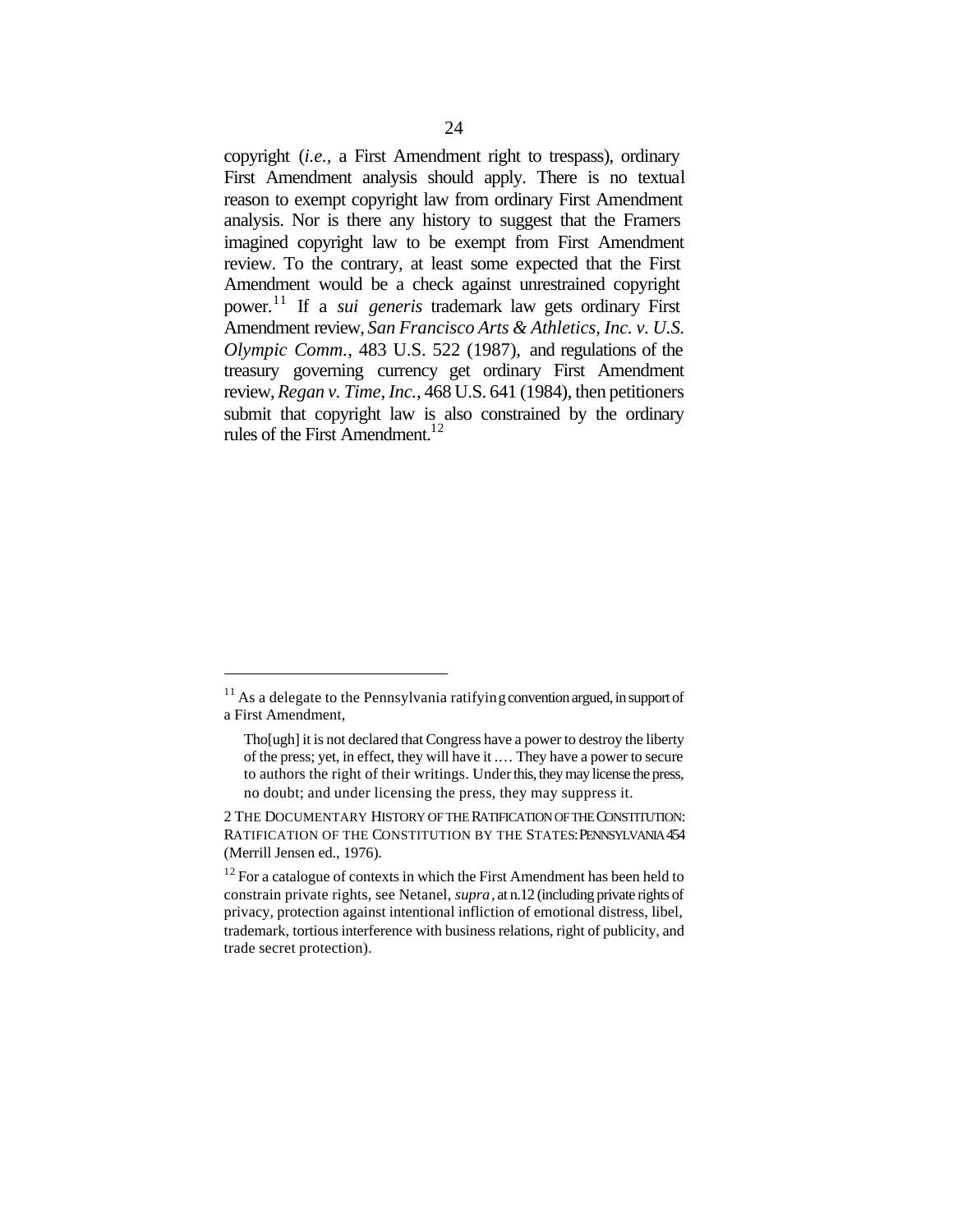copyright (*i.e.,* a First Amendment right to trespass), ordinary First Amendment analysis should apply. There is no textual reason to exempt copyright law from ordinary First Amendment analysis. Nor is there any history to suggest that the Framers imagined copyright law to be exempt from First Amendment review. To the contrary, at least some expected that the First Amendment would be a check against unrestrained copyright power.<sup>11</sup> If a *sui generis* trademark law gets ordinary First Amendment review, *San Francisco Arts & Athletics, Inc. v. U.S. Olympic Comm.*, 483 U.S. 522 (1987), and regulations of the treasury governing currency get ordinary First Amendment review, *Regan v. Time, Inc.*, 468 U.S. 641 (1984), then petitioners submit that copyright law is also constrained by the ordinary rules of the First Amendment.<sup>12</sup>

 $11$  As a delegate to the Pennsylvania ratifying convention argued, in support of a First Amendment,

Tho[ugh] it is not declared that Congress have a power to destroy the liberty of the press; yet, in effect, they will have it .… They have a power to secure to authors the right of their writings. Under this, they may license the press, no doubt; and under licensing the press, they may suppress it.

<sup>2</sup> THE DOCUMENTARY HISTORY OF THE RATIFICATION OF THE CONSTITUTION: RATIFICATION OF THE CONSTITUTION BY THE STATES: PENNSYLVANIA 454 (Merrill Jensen ed., 1976).

 $12$  For a catalogue of contexts in which the First Amendment has been held to constrain private rights, see Netanel, *supra*, at n.12 (including private rights of privacy, protection against intentional infliction of emotional distress, libel, trademark, tortious interference with business relations, right of publicity, and trade secret protection).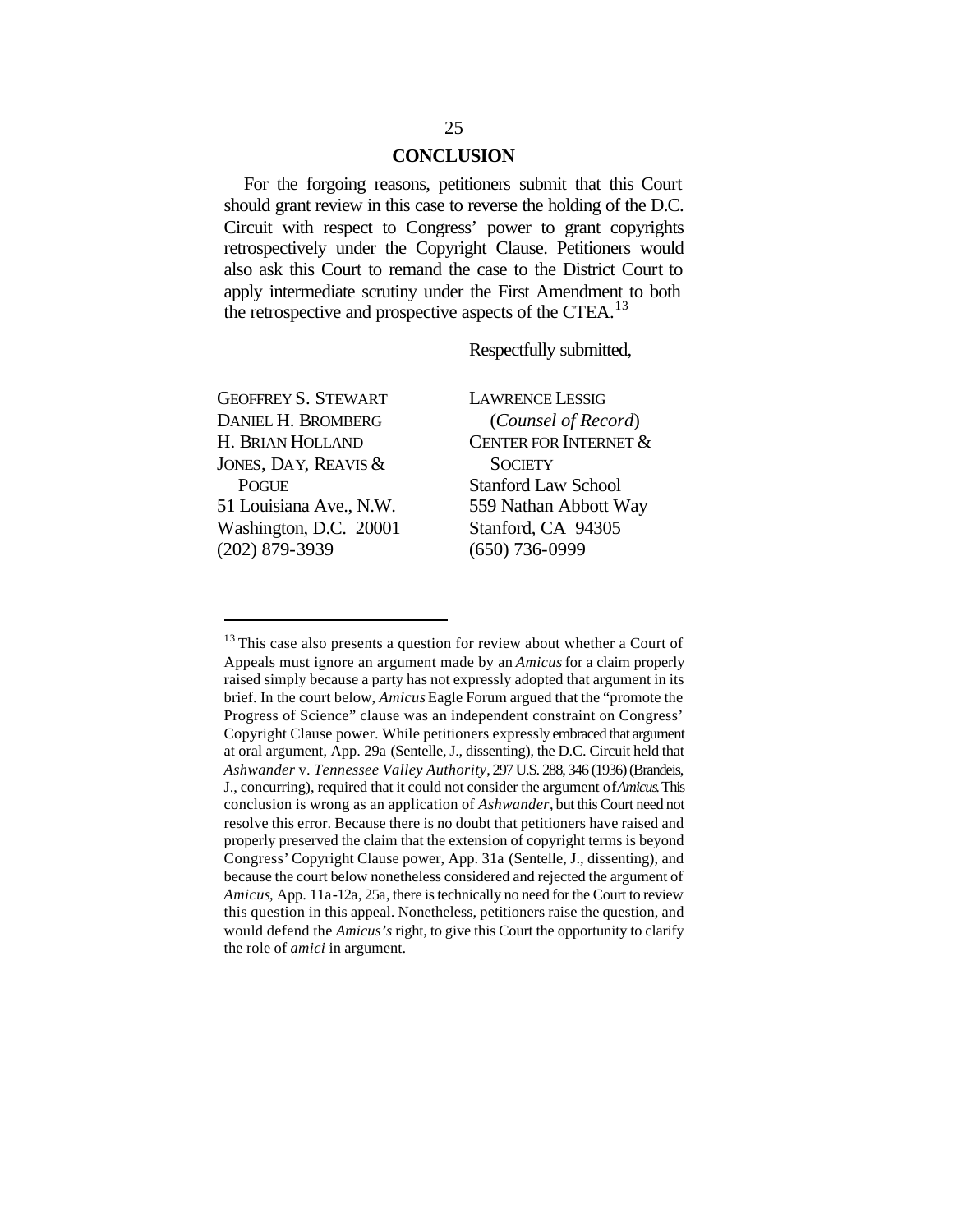#### **CONCLUSION**

For the forgoing reasons, petitioners submit that this Court should grant review in this case to reverse the holding of the D.C. Circuit with respect to Congress' power to grant copyrights retrospectively under the Copyright Clause. Petitioners would also ask this Court to remand the case to the District Court to apply intermediate scrutiny under the First Amendment to both the retrospective and prospective aspects of the CTEA.<sup>13</sup>

Respectfully submitted,

GEOFFREY S. STEWART DANIEL H. BROMBERG H. BRIAN HOLLAND JONES, DAY, REAVIS & POGUE 51 Louisiana Ave., N.W. Washington, D.C. 20001 (202) 879-3939

 $\overline{a}$ 

LAWRENCE LESSIG (*Counsel of Record*) CENTER FOR INTERNET & **SOCIETY** Stanford Law School 559 Nathan Abbott Way Stanford, CA 94305 (650) 736-0999

<sup>&</sup>lt;sup>13</sup> This case also presents a question for review about whether a Court of Appeals must ignore an argument made by an *Amicus* for a claim properly raised simply because a party has not expressly adopted that argument in its brief. In the court below, *Amicus* Eagle Forum argued that the "promote the Progress of Science" clause was an independent constraint on Congress' Copyright Clause power. While petitioners expressly embraced that argument at oral argument, App. 29a (Sentelle, J., dissenting), the D.C. Circuit held that *Ashwander* v. *Tennessee Valley Authority*, 297 U.S. 288, 346 (1936) (Brandeis, J., concurring), required that it could not consider the argument of *Amicus*. This conclusion is wrong as an application of *Ashwander*, but this Court need not resolve this error. Because there is no doubt that petitioners have raised and properly preserved the claim that the extension of copyright terms is beyond Congress' Copyright Clause power, App. 31a (Sentelle, J., dissenting), and because the court below nonetheless considered and rejected the argument of *Amicus*, App. 11a-12a, 25a, there is technically no need for the Court to review this question in this appeal. Nonetheless, petitioners raise the question, and would defend the *Amicus's* right, to give this Court the opportunity to clarify the role of *amici* in argument.